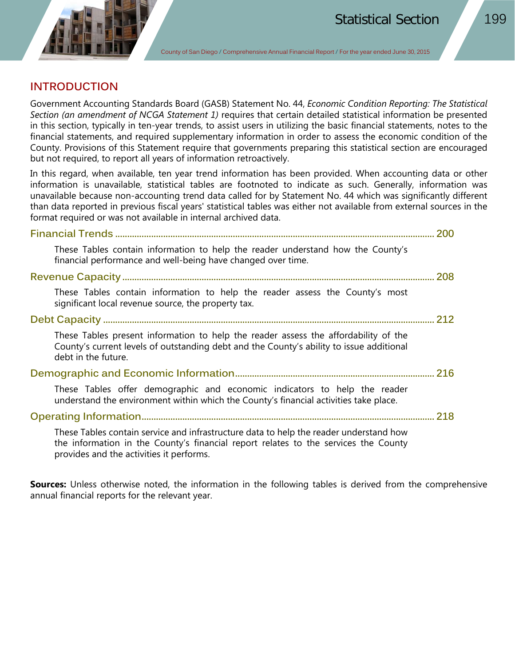

## **INTRODUCTION**

Government Accounting Standards Board (GASB) Statement No. 44, *Economic Condition Reporting: The Statistical Section (an amendment of NCGA Statement 1)* requires that certain detailed statistical information be presented in this section, typically in ten-year trends, to assist users in utilizing the basic financial statements, notes to the financial statements, and required supplementary information in order to assess the economic condition of the County. Provisions of this Statement require that governments preparing this statistical section are encouraged but not required, to report all years of information retroactively.

In this regard, when available, ten year trend information has been provided. When accounting data or other information is unavailable, statistical tables are footnoted to indicate as such. Generally, information was unavailable because non-accounting trend data called for by Statement No. 44 which was significantly different than data reported in previous fiscal years' statistical tables was either not available from external sources in the format required or was not available in internal archived data.

| These Tables contain information to help the reader understand how the County's<br>financial performance and well-being have changed over time.                                                                           |  |
|---------------------------------------------------------------------------------------------------------------------------------------------------------------------------------------------------------------------------|--|
|                                                                                                                                                                                                                           |  |
| These Tables contain information to help the reader assess the County's most<br>significant local revenue source, the property tax.                                                                                       |  |
|                                                                                                                                                                                                                           |  |
| These Tables present information to help the reader assess the affordability of the<br>County's current levels of outstanding debt and the County's ability to issue additional<br>debt in the future.                    |  |
|                                                                                                                                                                                                                           |  |
| These Tables offer demographic and economic indicators to help the reader<br>understand the environment within which the County's financial activities take place.                                                        |  |
|                                                                                                                                                                                                                           |  |
| These Tables contain service and infrastructure data to help the reader understand how<br>the information in the County's financial report relates to the services the County<br>provides and the activities it performs. |  |

**Sources:** Unless otherwise noted, the information in the following tables is derived from the comprehensive annual financial reports for the relevant year.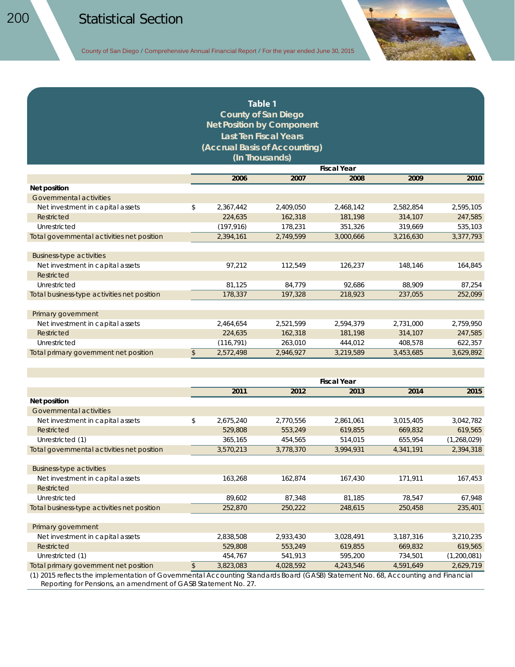## **Table 1**

**County of San Diego Net Position by Component Last Ten Fiscal Years (Accrual Basis of Accounting) (In Thousands)**

|                                             | <b>Fiscal Year</b> |           |           |           |           |  |  |  |  |
|---------------------------------------------|--------------------|-----------|-----------|-----------|-----------|--|--|--|--|
|                                             | 2006               | 2007      | 2008      | 2009      | 2010      |  |  |  |  |
| Net position                                |                    |           |           |           |           |  |  |  |  |
| Governmental activities                     |                    |           |           |           |           |  |  |  |  |
| Net investment in capital assets            | \$<br>2,367,442    | 2,409,050 | 2,468,142 | 2,582,854 | 2,595,105 |  |  |  |  |
| Restricted                                  | 224,635            | 162,318   | 181,198   | 314,107   | 247,585   |  |  |  |  |
| Unrestricted                                | (197, 916)         | 178,231   | 351,326   | 319,669   | 535,103   |  |  |  |  |
| Total governmental activities net position  | 2,394,161          | 2,749,599 | 3,000,666 | 3,216,630 | 3,377,793 |  |  |  |  |
|                                             |                    |           |           |           |           |  |  |  |  |
| <b>Business-type activities</b>             |                    |           |           |           |           |  |  |  |  |
| Net investment in capital assets            | 97,212             | 112,549   | 126,237   | 148,146   | 164,845   |  |  |  |  |
| <b>Restricted</b>                           |                    |           |           |           |           |  |  |  |  |
| Unrestricted                                | 81,125             | 84,779    | 92,686    | 88,909    | 87,254    |  |  |  |  |
| Total business-type activities net position | 178,337            | 197,328   | 218,923   | 237,055   | 252,099   |  |  |  |  |
|                                             |                    |           |           |           |           |  |  |  |  |
| Primary government                          |                    |           |           |           |           |  |  |  |  |
| Net investment in capital assets            | 2,464,654          | 2,521,599 | 2,594,379 | 2,731,000 | 2,759,950 |  |  |  |  |
| Restricted                                  | 224,635            | 162,318   | 181,198   | 314,107   | 247,585   |  |  |  |  |
| Unrestricted                                | (116, 791)         | 263,010   | 444,012   | 408,578   | 622,357   |  |  |  |  |
| Total primary government net position       | \$<br>2,572,498    | 2,946,927 | 3,219,589 | 3,453,685 | 3,629,892 |  |  |  |  |

|                                             | <b>Fiscal Year</b> |           |           |           |             |  |  |  |  |
|---------------------------------------------|--------------------|-----------|-----------|-----------|-------------|--|--|--|--|
|                                             | 2011               | 2012      | 2013      | 2014      | 2015        |  |  |  |  |
| Net position                                |                    |           |           |           |             |  |  |  |  |
| Governmental activities                     |                    |           |           |           |             |  |  |  |  |
| Net investment in capital assets            | \$<br>2,675,240    | 2,770,556 | 2,861,061 | 3,015,405 | 3,042,782   |  |  |  |  |
| Restricted                                  | 529,808            | 553,249   | 619,855   | 669,832   | 619,565     |  |  |  |  |
| Unrestricted (1)                            | 365,165            | 454,565   | 514,015   | 655,954   | (1,268,029) |  |  |  |  |
| Total governmental activities net position  | 3,570,213          | 3,778,370 | 3,994,931 | 4,341,191 | 2,394,318   |  |  |  |  |
|                                             |                    |           |           |           |             |  |  |  |  |
| <b>Business-type activities</b>             |                    |           |           |           |             |  |  |  |  |
| Net investment in capital assets            | 163,268            | 162,874   | 167,430   | 171,911   | 167,453     |  |  |  |  |
| Restricted                                  |                    |           |           |           |             |  |  |  |  |
| Unrestricted                                | 89,602             | 87,348    | 81,185    | 78,547    | 67,948      |  |  |  |  |
| Total business-type activities net position | 252,870            | 250,222   | 248,615   | 250,458   | 235,401     |  |  |  |  |
|                                             |                    |           |           |           |             |  |  |  |  |
| Primary government                          |                    |           |           |           |             |  |  |  |  |
| Net investment in capital assets            | 2,838,508          | 2,933,430 | 3,028,491 | 3,187,316 | 3,210,235   |  |  |  |  |
| Restricted                                  | 529,808            | 553,249   | 619,855   | 669,832   | 619,565     |  |  |  |  |
| Unrestricted (1)                            | 454,767            | 541,913   | 595,200   | 734,501   | (1,200,081) |  |  |  |  |
| Total primary government net position       | 3,823,083          | 4,028,592 | 4,243,546 | 4,591,649 | 2,629,719   |  |  |  |  |

(1) 2015 reflects the implementation of Governmental Accounting Standards Board (GASB) Statement No. 68*, Accounting and Financial Reporting for Pensions, an amendment of GASB Statement No. 27.*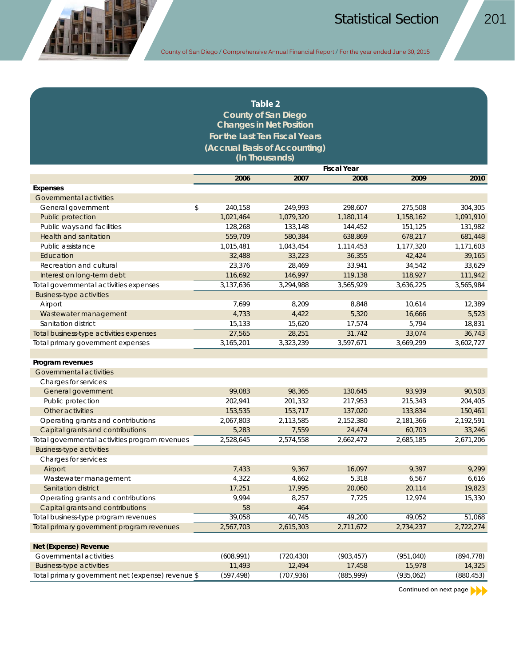| Table 2<br><b>County of San Diego</b><br><b>Changes in Net Position</b> |               |                               |                    |            |            |  |  |  |  |  |
|-------------------------------------------------------------------------|---------------|-------------------------------|--------------------|------------|------------|--|--|--|--|--|
| For the Last Ten Fiscal Years                                           |               |                               |                    |            |            |  |  |  |  |  |
|                                                                         |               | (Accrual Basis of Accounting) |                    |            |            |  |  |  |  |  |
|                                                                         |               | (In Thousands)                |                    |            |            |  |  |  |  |  |
|                                                                         |               |                               | <b>Fiscal Year</b> |            |            |  |  |  |  |  |
|                                                                         | 2006          | 2007                          | 2008               | 2009       | 2010       |  |  |  |  |  |
| <b>Expenses</b>                                                         |               |                               |                    |            |            |  |  |  |  |  |
| Governmental activities                                                 |               |                               |                    |            |            |  |  |  |  |  |
| General government                                                      | \$<br>240,158 | 249,993                       | 298,607            | 275,508    | 304,305    |  |  |  |  |  |
| Public protection                                                       | 1,021,464     | 1,079,320                     | 1,180,114          | 1,158,162  | 1,091,910  |  |  |  |  |  |
| Public ways and facilities                                              | 128,268       | 133,148                       | 144,452            | 151,125    | 131,982    |  |  |  |  |  |
| Health and sanitation                                                   | 559,709       | 580,384                       | 638,869            | 678,217    | 681,448    |  |  |  |  |  |
| Public assistance                                                       | 1,015,481     | 1,043,454                     | 1,114,453          | 1,177,320  | 1,171,603  |  |  |  |  |  |
| Education                                                               | 32,488        | 33,223                        | 36,355             | 42,424     | 39,165     |  |  |  |  |  |
| Recreation and cultural                                                 | 23,376        | 28,469                        | 33,941             | 34,542     | 33,629     |  |  |  |  |  |
| Interest on long-term debt                                              | 116,692       | 146,997                       | 119,138            | 118,927    | 111,942    |  |  |  |  |  |
| Total governmental activities expenses                                  | 3,137,636     | 3,294,988                     | 3,565,929          | 3,636,225  | 3,565,984  |  |  |  |  |  |
| <b>Business-type activities</b>                                         |               |                               |                    |            |            |  |  |  |  |  |
| Airport                                                                 | 7,699         | 8,209                         | 8,848              | 10,614     | 12,389     |  |  |  |  |  |
| Wastewater management                                                   | 4,733         | 4,422                         | 5,320              | 16,666     | 5,523      |  |  |  |  |  |
| Sanitation district                                                     | 15,133        | 15,620                        | 17,574             | 5,794      | 18,831     |  |  |  |  |  |
| Total business-type activities expenses                                 | 27,565        | 28,251                        | 31,742             | 33,074     | 36,743     |  |  |  |  |  |
| Total primary government expenses                                       | 3,165,201     | 3,323,239                     | 3,597,671          | 3,669,299  | 3,602,727  |  |  |  |  |  |
|                                                                         |               |                               |                    |            |            |  |  |  |  |  |
| Program revenues                                                        |               |                               |                    |            |            |  |  |  |  |  |
| Governmental activities                                                 |               |                               |                    |            |            |  |  |  |  |  |
| Charges for services:                                                   |               |                               |                    |            |            |  |  |  |  |  |
| General government                                                      | 99,083        | 98,365                        | 130,645            | 93,939     | 90,503     |  |  |  |  |  |
| Public protection                                                       | 202,941       | 201,332                       | 217,953            | 215,343    | 204,405    |  |  |  |  |  |
| Other activities                                                        | 153,535       | 153,717                       | 137,020            | 133,834    | 150,461    |  |  |  |  |  |
| Operating grants and contributions                                      | 2,067,803     | 2,113,585                     | 2,152,380          | 2,181,366  | 2,192,591  |  |  |  |  |  |
| Capital grants and contributions                                        | 5,283         | 7,559                         | 24,474             | 60,703     | 33,246     |  |  |  |  |  |
| Total governmental activities program revenues                          | 2,528,645     | 2,574,558                     | 2,662,472          | 2,685,185  | 2,671,206  |  |  |  |  |  |
| <b>Business-type activities</b>                                         |               |                               |                    |            |            |  |  |  |  |  |
| Charges for services:                                                   |               |                               |                    |            |            |  |  |  |  |  |
| Airport                                                                 | 7,433         | 9,367                         | 16,097             | 9,397      | 9,299      |  |  |  |  |  |
| Wastewater management                                                   | 4,322         | 4,662                         | 5,318              | 6,567      | 6,616      |  |  |  |  |  |
| Sanitation district                                                     | 17,251        | 17,995                        | 20,060             | 20,114     | 19,823     |  |  |  |  |  |
| Operating grants and contributions                                      | 9,994         | 8,257                         | 7,725              | 12,974     | 15,330     |  |  |  |  |  |
| Capital grants and contributions                                        | 58            | 464                           |                    |            |            |  |  |  |  |  |
| Total business-type program revenues                                    | 39,058        | 40,745                        | 49,200             | 49,052     | 51,068     |  |  |  |  |  |
| Total primary government program revenues                               | 2,567,703     | 2,615,303                     | 2,711,672          | 2,734,237  | 2,722,274  |  |  |  |  |  |
|                                                                         |               |                               |                    |            |            |  |  |  |  |  |
| Net (Expense) Revenue                                                   |               |                               |                    |            |            |  |  |  |  |  |
| Governmental activities                                                 | (608,991)     | (720, 430)                    | (903, 457)         | (951, 040) | (894, 778) |  |  |  |  |  |
| <b>Business-type activities</b>                                         | 11,493        | 12,494                        | 17,458             | 15,978     | 14,325     |  |  |  |  |  |
| Total primary government net (expense) revenue \$                       | (597, 498)    | (707, 936)                    | (885,999)          | (935, 062) | (880, 453) |  |  |  |  |  |

**Continued on next page**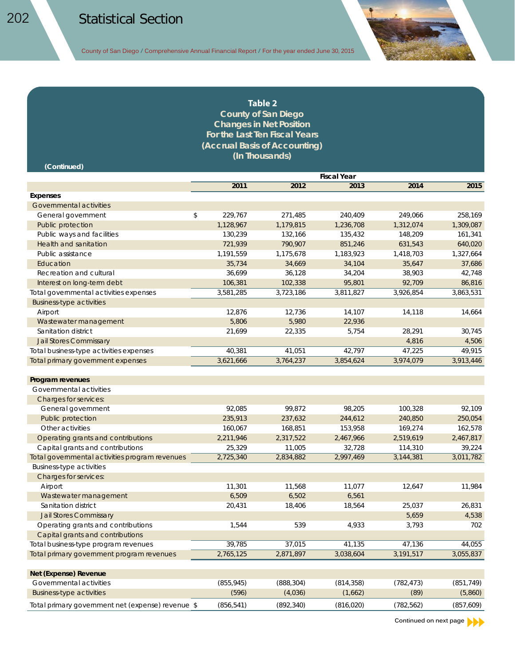## **Table 2**

**County of San Diego Changes in Net Position For the Last Ten Fiscal Years (Accrual Basis of Accounting) (In Thousands)**

| (Continued)                                                                       |                    |            |            |            |            |            |  |
|-----------------------------------------------------------------------------------|--------------------|------------|------------|------------|------------|------------|--|
|                                                                                   | <b>Fiscal Year</b> |            |            |            |            |            |  |
|                                                                                   |                    | 2011       | 2012       | 2013       | 2014       | 2015       |  |
| <b>Expenses</b>                                                                   |                    |            |            |            |            |            |  |
| Governmental activities                                                           |                    |            |            |            |            |            |  |
| General government                                                                | \$                 | 229,767    | 271,485    | 240,409    | 249,066    | 258,169    |  |
| Public protection                                                                 |                    | 1,128,967  | 1,179,815  | 1,236,708  | 1,312,074  | 1,309,087  |  |
| Public ways and facilities                                                        |                    | 130,239    | 132,166    | 135,432    | 148,209    | 161,341    |  |
| Health and sanitation                                                             |                    | 721,939    | 790,907    | 851,246    | 631,543    | 640,020    |  |
| Public assistance                                                                 |                    | 1,191,559  | 1,175,678  | 1,183,923  | 1,418,703  | 1,327,664  |  |
| Education                                                                         |                    | 35,734     | 34,669     | 34,104     | 35,647     | 37,686     |  |
| Recreation and cultural                                                           |                    | 36.699     | 36,128     | 34,204     | 38,903     | 42,748     |  |
| Interest on long-term debt                                                        |                    | 106,381    | 102,338    | 95,801     | 92,709     | 86,816     |  |
| Total governmental activities expenses                                            |                    | 3,581,285  | 3,723,186  | 3,811,827  | 3,926,854  | 3,863,531  |  |
| <b>Business-type activities</b>                                                   |                    |            |            |            |            |            |  |
| Airport                                                                           |                    | 12,876     | 12,736     | 14,107     | 14,118     | 14,664     |  |
| Wastewater management                                                             |                    | 5,806      | 5,980      | 22,936     |            |            |  |
| Sanitation district                                                               |                    | 21,699     | 22,335     | 5,754      | 28,291     | 30,745     |  |
| <b>Jail Stores Commissary</b>                                                     |                    |            |            |            | 4,816      | 4,506      |  |
| Total business-type activities expenses                                           |                    | 40,381     | 41,051     | 42,797     | 47,225     | 49,915     |  |
| Total primary government expenses                                                 |                    | 3,621,666  | 3,764,237  | 3,854,624  | 3,974,079  | 3,913,446  |  |
| Program revenues                                                                  |                    |            |            |            |            |            |  |
| Governmental activities                                                           |                    |            |            |            |            |            |  |
| <b>Charges for services:</b>                                                      |                    |            |            |            |            |            |  |
| General government                                                                |                    | 92,085     | 99,872     | 98,205     | 100,328    | 92,109     |  |
| Public protection                                                                 |                    | 235,913    | 237,632    | 244,612    | 240,850    | 250,054    |  |
| Other activities                                                                  |                    | 160,067    | 168,851    | 153,958    | 169,274    | 162,578    |  |
| Operating grants and contributions                                                |                    | 2,211,946  | 2,317,522  | 2,467,966  | 2,519,619  | 2,467,817  |  |
| Capital grants and contributions                                                  |                    | 25,329     | 11,005     | 32,728     | 114,310    | 39,224     |  |
|                                                                                   |                    | 2,725,340  | 2,834,882  | 2,997,469  | 3,144,381  | 3,011,782  |  |
| Total governmental activities program revenues<br><b>Business-type activities</b> |                    |            |            |            |            |            |  |
|                                                                                   |                    |            |            |            |            |            |  |
| Charges for services:                                                             |                    | 11,301     | 11,568     | 11,077     | 12,647     | 11,984     |  |
| Airport                                                                           |                    | 6,509      | 6,502      | 6,561      |            |            |  |
| Wastewater management                                                             |                    |            |            |            |            |            |  |
| Sanitation district                                                               |                    | 20,431     | 18,406     | 18,564     | 25,037     | 26,831     |  |
| <b>Jail Stores Commissary</b>                                                     |                    |            | 539        |            | 5,659      | 4,538      |  |
| Operating grants and contributions                                                |                    | 1,544      |            | 4,933      | 3,793      | 702        |  |
| Capital grants and contributions                                                  |                    |            |            |            |            |            |  |
| Total business-type program revenues                                              |                    | 39,785     | 37,015     | 41,135     | 47,136     | 44,055     |  |
| Total primary government program revenues                                         |                    | 2,765,125  | 2,871,897  | 3,038,604  | 3,191,517  | 3,055,837  |  |
| <b>Net (Expense) Revenue</b>                                                      |                    |            |            |            |            |            |  |
| Governmental activities                                                           |                    | (855, 945) | (888, 304) | (814, 358) | (782, 473) | (851, 749) |  |
| <b>Business-type activities</b>                                                   |                    | (596)      | (4,036)    | (1,662)    | (89)       | (5,860)    |  |
| Total primary government net (expense) revenue \$                                 |                    | (856, 541) | (892, 340) | (816, 020) | (782, 562) | (857, 609) |  |

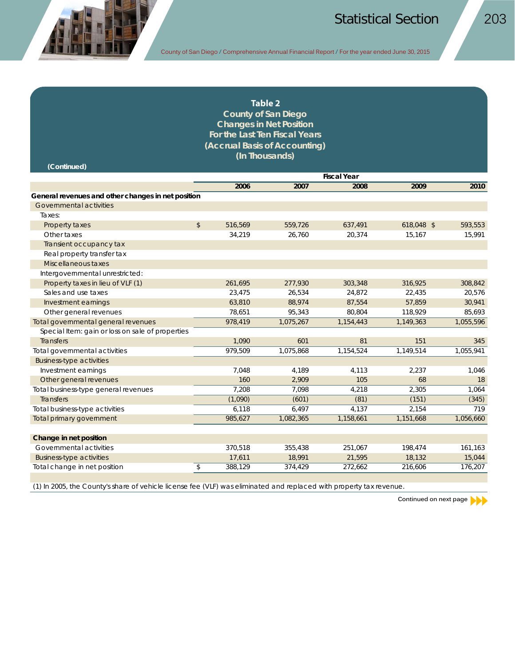

 **(Continued)**

County of San Diego **/** Comprehensive Annual Financial Report **/** For the year ended June 30, 2015

# **Table 2**

**County of San Diego Changes in Net Position For the Last Ten Fiscal Years (Accrual Basis of Accounting) (In Thousands)**

|                                                    |              | <b>Fiscal Year</b> |           |           |            |           |  |  |  |  |
|----------------------------------------------------|--------------|--------------------|-----------|-----------|------------|-----------|--|--|--|--|
|                                                    |              | 2006               | 2007      | 2008      | 2009       | 2010      |  |  |  |  |
| General revenues and other changes in net position |              |                    |           |           |            |           |  |  |  |  |
| Governmental activities                            |              |                    |           |           |            |           |  |  |  |  |
| Taxes:                                             |              |                    |           |           |            |           |  |  |  |  |
| Property taxes                                     | $\sqrt[6]{}$ | 516,569            | 559,726   | 637,491   | 618,048 \$ | 593,553   |  |  |  |  |
| Other taxes                                        |              | 34,219             | 26,760    | 20,374    | 15,167     | 15,991    |  |  |  |  |
| Transient occupancy tax                            |              |                    |           |           |            |           |  |  |  |  |
| Real property transfer tax                         |              |                    |           |           |            |           |  |  |  |  |
| Miscellaneous taxes                                |              |                    |           |           |            |           |  |  |  |  |
| Intergovernmental unrestricted:                    |              |                    |           |           |            |           |  |  |  |  |
| Property taxes in lieu of VLF (1)                  |              | 261,695            | 277,930   | 303,348   | 316,925    | 308,842   |  |  |  |  |
| Sales and use taxes                                |              | 23,475             | 26,534    | 24,872    | 22,435     | 20,576    |  |  |  |  |
| Investment earnings                                |              | 63,810             | 88,974    | 87,554    | 57,859     | 30,941    |  |  |  |  |
| Other general revenues                             |              | 78,651             | 95,343    | 80,804    | 118,929    | 85,693    |  |  |  |  |
| Total governmental general revenues                |              | 978,419            | 1,075,267 | 1,154,443 | 1,149,363  | 1,055,596 |  |  |  |  |
| Special Item: gain or loss on sale of properties   |              |                    |           |           |            |           |  |  |  |  |
| <b>Transfers</b>                                   |              | 1,090              | 601       | 81        | 151        | 345       |  |  |  |  |
| Total governmental activities                      |              | 979,509            | 1,075,868 | 1,154,524 | 1,149,514  | 1,055,941 |  |  |  |  |
| <b>Business-type activities</b>                    |              |                    |           |           |            |           |  |  |  |  |
| Investment earnings                                |              | 7,048              | 4,189     | 4,113     | 2,237      | 1,046     |  |  |  |  |
| Other general revenues                             |              | 160                | 2,909     | 105       | 68         | 18        |  |  |  |  |
| Total business-type general revenues               |              | 7,208              | 7,098     | 4,218     | 2,305      | 1,064     |  |  |  |  |
| <b>Transfers</b>                                   |              | (1,090)            | (601)     | (81)      | (151)      | (345)     |  |  |  |  |
| Total business-type activities                     |              | 6,118              | 6,497     | 4,137     | 2,154      | 719       |  |  |  |  |
| Total primary government                           |              | 985,627            | 1,082,365 | 1,158,661 | 1,151,668  | 1,056,660 |  |  |  |  |
|                                                    |              |                    |           |           |            |           |  |  |  |  |
| Change in net position                             |              |                    |           |           |            |           |  |  |  |  |
| Governmental activities                            |              | 370,518            | 355,438   | 251,067   | 198,474    | 161,163   |  |  |  |  |
| <b>Business-type activities</b>                    |              | 17,611             | 18,991    | 21,595    | 18,132     | 15,044    |  |  |  |  |
| Total change in net position                       | \$           | 388,129            | 374,429   | 272,662   | 216,606    | 176,207   |  |  |  |  |
|                                                    |              |                    |           |           |            |           |  |  |  |  |

(1) In 2005, the County's share of vehicle license fee (VLF) was eliminated and replaced with property tax revenue.

**Continued on next page**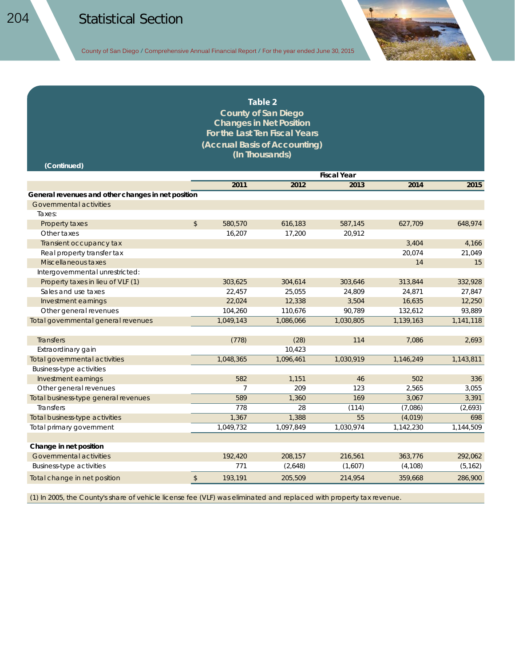## **Table 2**

**County of San Diego Changes in Net Position For the Last Ten Fiscal Years (Accrual Basis of Accounting) (In Thousands)**

|                                                    |               | <b>Fiscal Year</b> |           |           |           |           |  |  |  |
|----------------------------------------------------|---------------|--------------------|-----------|-----------|-----------|-----------|--|--|--|
|                                                    |               | 2011               | 2012      | 2013      | 2014      | 2015      |  |  |  |
| General revenues and other changes in net position |               |                    |           |           |           |           |  |  |  |
| Governmental activities                            |               |                    |           |           |           |           |  |  |  |
| Taxes:                                             |               |                    |           |           |           |           |  |  |  |
| Property taxes                                     | $\mathsf{\$}$ | 580,570            | 616,183   | 587,145   | 627,709   | 648,974   |  |  |  |
| Other taxes                                        |               | 16,207             | 17.200    | 20,912    |           |           |  |  |  |
| Transient occupancy tax                            |               |                    |           |           | 3,404     | 4,166     |  |  |  |
| Real property transfer tax                         |               |                    |           |           | 20.074    | 21,049    |  |  |  |
| Miscellaneous taxes                                |               |                    |           |           | 14        | 15        |  |  |  |
| Intergovernmental unrestricted:                    |               |                    |           |           |           |           |  |  |  |
| Property taxes in lieu of VLF (1)                  |               | 303,625            | 304,614   | 303,646   | 313,844   | 332,928   |  |  |  |
| Sales and use taxes                                |               | 22,457             | 25,055    | 24,809    | 24,871    | 27,847    |  |  |  |
| Investment earnings                                |               | 22,024             | 12,338    | 3,504     | 16,635    | 12,250    |  |  |  |
| Other general revenues                             |               | 104,260            | 110,676   | 90.789    | 132,612   | 93,889    |  |  |  |
| Total governmental general revenues                |               | 1,049,143          | 1,086,066 | 1,030,805 | 1,139,163 | 1,141,118 |  |  |  |
|                                                    |               |                    |           |           |           |           |  |  |  |
| <b>Transfers</b>                                   |               | (778)              | (28)      | 114       | 7,086     | 2,693     |  |  |  |
| Extraordinary gain                                 |               |                    | 10,423    |           |           |           |  |  |  |
| <b>Total governmental activities</b>               |               | 1,048,365          | 1,096,461 | 1,030,919 | 1,146,249 | 1,143,811 |  |  |  |
| <b>Business-type activities</b>                    |               |                    |           |           |           |           |  |  |  |
| Investment earnings                                |               | 582                | 1.151     | 46        | 502       | 336       |  |  |  |
| Other general revenues                             |               | $\overline{7}$     | 209       | 123       | 2,565     | 3,055     |  |  |  |
| Total business-type general revenues               |               | 589                | 1,360     | 169       | 3,067     | 3,391     |  |  |  |
| <b>Transfers</b>                                   |               | 778                | 28        | (114)     | (7,086)   | (2,693)   |  |  |  |
| Total business-type activities                     |               | 1,367              | 1,388     | 55        | (4,019)   | 698       |  |  |  |
| Total primary government                           |               | 1,049,732          | 1,097,849 | 1,030,974 | 1,142,230 | 1,144,509 |  |  |  |
|                                                    |               |                    |           |           |           |           |  |  |  |
| Change in net position                             |               |                    |           |           |           |           |  |  |  |
| Governmental activities                            |               | 192,420            | 208,157   | 216,561   | 363,776   | 292,062   |  |  |  |
| <b>Business-type activities</b>                    |               | 771                | (2,648)   | (1,607)   | (4, 108)  | (5, 162)  |  |  |  |
| Total change in net position                       | \$            | 193,191            | 205,509   | 214,954   | 359,668   | 286,900   |  |  |  |

(1) In 2005, the County's share of vehicle license fee (VLF) was eliminated and replaced with property tax revenue.

 **(Continued)**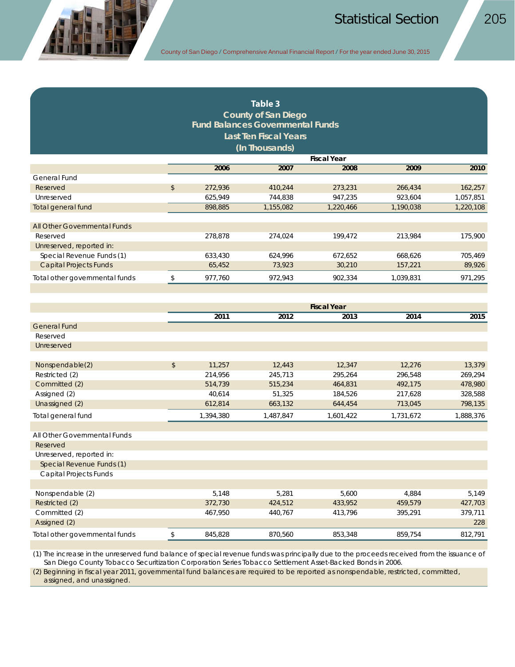

| Table 3                                 |
|-----------------------------------------|
| County of San Diego                     |
| <b>Fund Balances Governmental Funds</b> |
| Last Ten Fiscal Years                   |
| (In Thousands)                          |

|                                |                | <b>Fiscal Year</b> |           |           |           |           |  |  |  |  |
|--------------------------------|----------------|--------------------|-----------|-----------|-----------|-----------|--|--|--|--|
|                                |                | 2006               | 2007      | 2008      | 2009      | 2010      |  |  |  |  |
| General Fund                   |                |                    |           |           |           |           |  |  |  |  |
| Reserved                       | $\mathfrak{S}$ | 272.936            | 410.244   | 273.231   | 266.434   | 162.257   |  |  |  |  |
| Unreserved                     |                | 625.949            | 744.838   | 947.235   | 923.604   | 1,057,851 |  |  |  |  |
| Total general fund             |                | 898.885            | 1,155,082 | 1.220.466 | 1.190.038 | 1,220,108 |  |  |  |  |
|                                |                |                    |           |           |           |           |  |  |  |  |
| All Other Governmental Funds   |                |                    |           |           |           |           |  |  |  |  |
| Reserved                       |                | 278.878            | 274.024   | 199.472   | 213.984   | 175,900   |  |  |  |  |
| Unreserved, reported in:       |                |                    |           |           |           |           |  |  |  |  |
| Special Revenue Funds (1)      |                | 633,430            | 624.996   | 672.652   | 668.626   | 705.469   |  |  |  |  |
| Capital Projects Funds         |                | 65,452             | 73,923    | 30.210    | 157,221   | 89.926    |  |  |  |  |
| Total other governmental funds |                | 977.760            | 972.943   | 902.334   | 1.039.831 | 971.295   |  |  |  |  |

|                                |               | <b>Fiscal Year</b> |           |           |           |           |  |  |  |  |  |
|--------------------------------|---------------|--------------------|-----------|-----------|-----------|-----------|--|--|--|--|--|
|                                |               | 2011               | 2012      | 2013      | 2014      | 2015      |  |  |  |  |  |
| <b>General Fund</b>            |               |                    |           |           |           |           |  |  |  |  |  |
| Reserved                       |               |                    |           |           |           |           |  |  |  |  |  |
| Unreserved                     |               |                    |           |           |           |           |  |  |  |  |  |
|                                |               |                    |           |           |           |           |  |  |  |  |  |
| Nonspendable(2)                | $\frac{1}{2}$ | 11,257             | 12,443    | 12,347    | 12,276    | 13,379    |  |  |  |  |  |
| Restricted (2)                 |               | 214,956            | 245,713   | 295,264   | 296,548   | 269,294   |  |  |  |  |  |
| Committed (2)                  |               | 514,739            | 515,234   | 464,831   | 492,175   | 478,980   |  |  |  |  |  |
| Assigned (2)                   |               | 40,614             | 51,325    | 184,526   | 217,628   | 328,588   |  |  |  |  |  |
| Unassigned (2)                 |               | 612,814            | 663,132   | 644,454   | 713,045   | 798,135   |  |  |  |  |  |
| Total general fund             |               | 1,394,380          | 1,487,847 | 1,601,422 | 1,731,672 | 1,888,376 |  |  |  |  |  |
|                                |               |                    |           |           |           |           |  |  |  |  |  |
| All Other Governmental Funds   |               |                    |           |           |           |           |  |  |  |  |  |
| Reserved                       |               |                    |           |           |           |           |  |  |  |  |  |
| Unreserved, reported in:       |               |                    |           |           |           |           |  |  |  |  |  |
| Special Revenue Funds (1)      |               |                    |           |           |           |           |  |  |  |  |  |
| Capital Projects Funds         |               |                    |           |           |           |           |  |  |  |  |  |
|                                |               |                    |           |           |           |           |  |  |  |  |  |
| Nonspendable (2)               |               | 5,148              | 5,281     | 5,600     | 4,884     | 5,149     |  |  |  |  |  |
| Restricted (2)                 |               | 372,730            | 424,512   | 433,952   | 459,579   | 427,703   |  |  |  |  |  |
| Committed (2)                  |               | 467,950            | 440,767   | 413,796   | 395,291   | 379,711   |  |  |  |  |  |
| Assigned (2)                   |               |                    |           |           |           | 228       |  |  |  |  |  |
| Total other governmental funds | \$            | 845,828            | 870,560   | 853,348   | 859,754   | 812,791   |  |  |  |  |  |

(1) The increase in the unreserved fund balance of special revenue funds was principally due to the proceeds received from the issuance of San Diego County Tobacco Securitization Corporation Series Tobacco Settlement Asset-Backed Bonds in 2006.

(2) Beginning in fiscal year 2011, governmental fund balances are required to be reported as nonspendable, restricted, committed, assigned, and unassigned.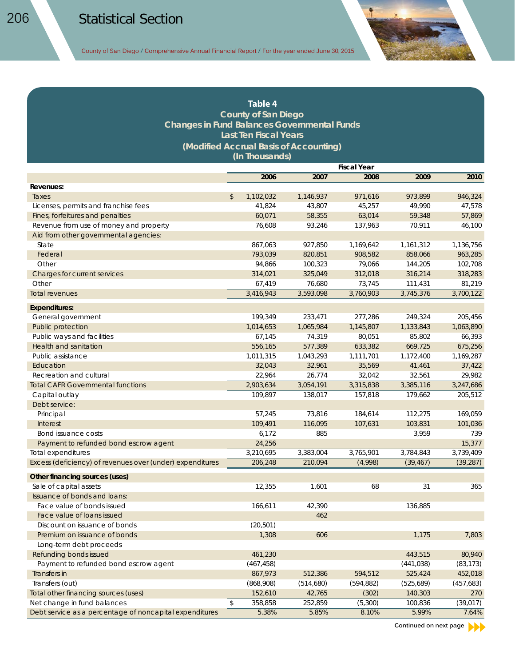## **Table 4**

**County of San Diego Changes in Fund Balances Governmental Funds Last Ten Fiscal Years (Modified Accrual Basis of Accounting) (In Thousands)**

|                                                           | <b>Fiscal Year</b> |            |           |            |            |            |
|-----------------------------------------------------------|--------------------|------------|-----------|------------|------------|------------|
|                                                           |                    | 2006       | 2007      | 2008       | 2009       | 2010       |
| Revenues:                                                 |                    |            |           |            |            |            |
| Taxes                                                     | $\mathfrak{D}$     | 1,102,032  | 1,146,937 | 971,616    | 973,899    | 946,324    |
| Licenses, permits and franchise fees                      |                    | 41,824     | 43,807    | 45,257     | 49,990     | 47,578     |
| Fines, forfeitures and penalties                          |                    | 60,071     | 58,355    | 63,014     | 59,348     | 57,869     |
| Revenue from use of money and property                    |                    | 76,608     | 93.246    | 137,963    | 70.911     | 46,100     |
| Aid from other governmental agencies:                     |                    |            |           |            |            |            |
| State                                                     |                    | 867,063    | 927,850   | 1,169,642  | 1,161,312  | 1,136,756  |
| Federal                                                   |                    | 793,039    | 820,851   | 908.582    | 858,066    | 963,285    |
| Other                                                     |                    | 94,866     | 100,323   | 79,066     | 144,205    | 102,708    |
| Charges for current services                              |                    | 314,021    | 325,049   | 312,018    | 316,214    | 318,283    |
| Other                                                     |                    | 67,419     | 76,680    | 73,745     | 111,431    | 81,219     |
| <b>Total revenues</b>                                     |                    | 3,416,943  | 3,593,098 | 3,760,903  | 3,745,376  | 3,700,122  |
| <b>Expenditures:</b>                                      |                    |            |           |            |            |            |
| General government                                        |                    | 199,349    | 233,471   | 277,286    | 249,324    | 205,456    |
| Public protection                                         |                    | 1,014,653  | 1,065,984 | 1,145,807  | 1,133,843  | 1,063,890  |
| Public ways and facilities                                |                    | 67,145     | 74,319    | 80,051     | 85,802     | 66,393     |
| Health and sanitation                                     |                    | 556,165    | 577,389   | 633,382    | 669,725    | 675,256    |
| Public assistance                                         |                    | 1,011,315  | 1,043,293 | 1,111,701  | 1,172,400  | 1,169,287  |
| Education                                                 |                    | 32,043     | 32,961    | 35,569     | 41,461     | 37,422     |
| Recreation and cultural                                   |                    | 22,964     | 26,774    | 32,042     | 32,561     | 29,982     |
| <b>Total CAFR Governmental functions</b>                  |                    | 2,903,634  | 3,054,191 | 3,315,838  | 3,385,116  | 3,247,686  |
| Capital outlay                                            |                    | 109,897    | 138,017   | 157,818    | 179,662    | 205,512    |
| Debt service:                                             |                    |            |           |            |            |            |
| Principal                                                 |                    | 57,245     | 73,816    | 184,614    | 112,275    | 169,059    |
| Interest                                                  |                    | 109,491    | 116,095   | 107,631    | 103,831    | 101,036    |
| Bond issuance costs                                       |                    | 6,172      | 885       |            | 3,959      | 739        |
| Payment to refunded bond escrow agent                     |                    | 24,256     |           |            |            | 15,377     |
| Total expenditures                                        |                    | 3,210,695  | 3,383,004 | 3,765,901  | 3,784,843  | 3,739,409  |
| Excess (deficiency) of revenues over (under) expenditures |                    | 206,248    | 210,094   | (4,998)    | (39, 467)  | (39, 287)  |
| Other financing sources (uses)                            |                    |            |           |            |            |            |
| Sale of capital assets                                    |                    | 12,355     | 1,601     | 68         | 31         | 365        |
| Issuance of bonds and loans:                              |                    |            |           |            |            |            |
| Face value of bonds issued                                |                    | 166,611    | 42.390    |            | 136.885    |            |
| Face value of loans issued                                |                    |            | 462       |            |            |            |
| Discount on issuance of bonds                             |                    | (20, 501)  |           |            |            |            |
| Premium on issuance of bonds                              |                    | 1,308      | 606       |            | 1,175      | 7,803      |
| Long-term debt proceeds                                   |                    |            |           |            |            |            |
| Refunding bonds issued                                    |                    | 461,230    |           |            | 443,515    | 80,940     |
| Payment to refunded bond escrow agent                     |                    | (467, 458) |           |            | (441, 038) | (83, 173)  |
| Transfers in                                              |                    | 867,973    | 512,386   | 594,512    | 525,424    | 452,018    |
| Transfers (out)                                           |                    | (868,908)  | (514,680) | (594, 882) | (525,689)  | (457, 683) |
| Total other financing sources (uses)                      |                    | 152,610    | 42,765    | (302)      | 140,303    | 270        |
| Net change in fund balances                               | \$                 | 358,858    | 252,859   | (5,300)    | 100,836    | (39, 017)  |
| Debt service as a percentage of noncapital expenditures   |                    | 5.38%      | 5.85%     | 8.10%      | 5.99%      | 7.64%      |
|                                                           |                    |            |           |            |            |            |

Continued on next page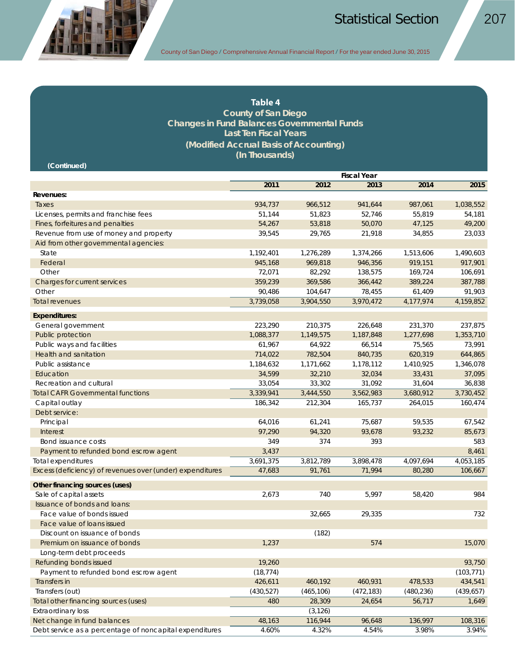

## **Table 4**

**County of San Diego Changes in Fund Balances Governmental Funds Last Ten Fiscal Years (Modified Accrual Basis of Accounting) (In Thousands)**

 **(Continued)**

|                                                           | <b>Fiscal Year</b> |            |            |            |            |  |
|-----------------------------------------------------------|--------------------|------------|------------|------------|------------|--|
|                                                           | 2011               | 2012       | 2013       | 2014       | 2015       |  |
| Revenues:                                                 |                    |            |            |            |            |  |
| Taxes                                                     | 934,737            | 966,512    | 941,644    | 987,061    | 1,038,552  |  |
| Licenses, permits and franchise fees                      | 51,144             | 51,823     | 52,746     | 55,819     | 54,181     |  |
| Fines, forfeitures and penalties                          | 54,267             | 53,818     | 50,070     | 47,125     | 49,200     |  |
| Revenue from use of money and property                    | 39,545             | 29,765     | 21,918     | 34,855     | 23,033     |  |
| Aid from other governmental agencies:                     |                    |            |            |            |            |  |
| State                                                     | 1,192,401          | 1,276,289  | 1,374,266  | 1,513,606  | 1,490,603  |  |
| Federal                                                   | 945,168            | 969,818    | 946,356    | 919,151    | 917,901    |  |
| Other                                                     | 72,071             | 82,292     | 138,575    | 169,724    | 106,691    |  |
| Charges for current services                              | 359,239            | 369,586    | 366,442    | 389,224    | 387,788    |  |
| Other                                                     | 90,486             | 104,647    | 78,455     | 61,409     | 91,903     |  |
| <b>Total revenues</b>                                     | 3,739,058          | 3,904,550  | 3,970,472  | 4,177,974  | 4,159,852  |  |
|                                                           |                    |            |            |            |            |  |
| <b>Expenditures:</b>                                      |                    |            |            |            |            |  |
| General government                                        | 223,290            | 210,375    | 226,648    | 231,370    | 237,875    |  |
| Public protection                                         | 1,088,377          | 1,149,575  | 1,187,848  | 1,277,698  | 1,353,710  |  |
| Public ways and facilities                                | 61,967             | 64,922     | 66,514     | 75,565     | 73,991     |  |
| Health and sanitation                                     | 714,022            | 782,504    | 840,735    | 620,319    | 644,865    |  |
| Public assistance                                         | 1,184,632          | 1,171,662  | 1,178,112  | 1,410,925  | 1,346,078  |  |
| Education                                                 | 34,599             | 32,210     | 32,034     | 33,431     | 37,095     |  |
| Recreation and cultural                                   | 33,054             | 33,302     | 31,092     | 31,604     | 36,838     |  |
| <b>Total CAFR Governmental functions</b>                  | 3,339,941          | 3,444,550  | 3,562,983  | 3,680,912  | 3,730,452  |  |
| Capital outlay                                            | 186.342            | 212,304    | 165,737    | 264,015    | 160,474    |  |
| Debt service:                                             |                    |            |            |            |            |  |
| Principal                                                 | 64,016             | 61,241     | 75,687     | 59,535     | 67,542     |  |
| Interest                                                  | 97,290             | 94,320     | 93,678     | 93,232     | 85,673     |  |
| Bond issuance costs                                       | 349                | 374        | 393        |            | 583        |  |
| Payment to refunded bond escrow agent                     | 3,437              |            |            |            | 8,461      |  |
| Total expenditures                                        | 3,691,375          | 3,812,789  | 3,898,478  | 4,097,694  | 4,053,185  |  |
| Excess (deficiency) of revenues over (under) expenditures | 47,683             | 91,761     | 71,994     | 80,280     | 106,667    |  |
|                                                           |                    |            |            |            |            |  |
| Other financing sources (uses)                            |                    |            |            |            |            |  |
| Sale of capital assets                                    | 2,673              | 740        | 5,997      | 58,420     | 984        |  |
| Issuance of bonds and loans:                              |                    |            |            |            |            |  |
| Face value of bonds issued                                |                    | 32,665     | 29,335     |            | 732        |  |
| Face value of loans issued                                |                    |            |            |            |            |  |
| Discount on issuance of bonds                             |                    | (182)      |            |            |            |  |
| Premium on issuance of bonds                              | 1,237              |            | 574        |            | 15,070     |  |
| Long-term debt proceeds                                   |                    |            |            |            |            |  |
| Refunding bonds issued                                    | 19,260             |            |            |            | 93,750     |  |
| Payment to refunded bond escrow agent                     | (18, 774)          |            |            |            | (103, 771) |  |
| Transfers in                                              | 426,611            | 460,192    | 460,931    | 478,533    | 434,541    |  |
| Transfers (out)                                           | (430, 527)         | (465, 106) | (472, 183) | (480, 236) | (439, 657) |  |
| Total other financing sources (uses)                      | 480                | 28,309     | 24,654     | 56,717     | 1,649      |  |
| <b>Extraordinary loss</b>                                 |                    | (3, 126)   |            |            |            |  |
| Net change in fund balances                               | 48,163             | 116,944    | 96,648     | 136,997    | 108,316    |  |
| Debt service as a percentage of noncapital expenditures   | 4.60%              | 4.32%      | 4.54%      | 3.98%      | 3.94%      |  |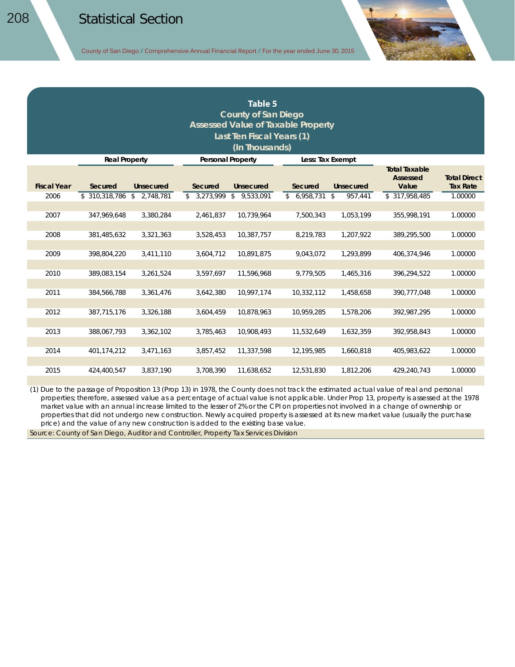## **Table 5**

#### **County of San Diego Assessed Value of Taxable Property Last Ten Fiscal Years (1)**

### **(In Thousands)**

|                    | <b>Real Property</b> |                  |                 | <b>Personal Property</b> | Less: Tax Exempt |               |                                           |                                        |
|--------------------|----------------------|------------------|-----------------|--------------------------|------------------|---------------|-------------------------------------------|----------------------------------------|
| <b>Fiscal Year</b> | Secured              | <b>Unsecured</b> | Secured         | Unsecured                | Secured          | Unsecured     | <b>Total Taxable</b><br>Assessed<br>Value | <b>Total Direct</b><br><b>Tax Rate</b> |
| 2006               | \$310,318,786        | 2,748,781<br>\$  | 3,273,999<br>\$ | 9,533,091<br>\$          | \$6,958,731      | 957,441<br>\$ | \$317,958,485                             | 1.00000                                |
|                    |                      |                  |                 |                          |                  |               |                                           |                                        |
| 2007               | 347,969,648          | 3,380,284        | 2,461,837       | 10.739.964               | 7,500,343        | 1,053,199     | 355,998,191                               | 1.00000                                |
| 2008               | 381,485,632          | 3,321,363        | 3,528,453       | 10,387,757               | 8,219,783        | 1,207,922     | 389,295,500                               | 1.00000                                |
| 2009               | 398,804,220          | 3,411,110        | 3,604,712       | 10,891,875               | 9,043,072        | 1,293,899     | 406,374,946                               | 1.00000                                |
| 2010               | 389,083,154          | 3,261,524        | 3,597,697       | 11.596.968               | 9,779,505        | 1,465,316     | 396,294,522                               | 1.00000                                |
| 2011               | 384.566.788          | 3,361,476        | 3,642,380       | 10,997,174               | 10,332,112       | 1,458,658     | 390,777,048                               | 1.00000                                |
| 2012               | 387,715,176          | 3,326,188        | 3,604,459       | 10,878,963               | 10,959,285       | 1,578,206     | 392,987,295                               | 1.00000                                |
| 2013               | 388,067,793          | 3,362,102        | 3,785,463       | 10,908,493               | 11,532,649       | 1,632,359     | 392.958.843                               | 1.00000                                |
| 2014               | 401,174,212          | 3,471,163        | 3,857,452       | 11,337,598               | 12.195.985       | 1.660.818     | 405.983.622                               | 1.00000                                |
| 2015               | 424.400.547          | 3.837.190        | 3,708,390       | 11.638.652               | 12,531,830       | 1,812,206     | 429.240.743                               | 1.00000                                |

(1) Due to the passage of Proposition 13 (Prop 13) in 1978, the County does not track the estimated actual value of real and personal properties; therefore, assessed value as a percentage of actual value is not applicable. Under Prop 13, property is assessed at the 1978 market value with an annual increase limited to the lesser of 2% or the CPI on properties not involved in a change of ownership or properties that did not undergo new construction. Newly acquired property is assessed at its new market value (usually the purchase price) and the value of any new construction is added to the existing base value.

Source: County of San Diego, Auditor and Controller, Property Tax Services Division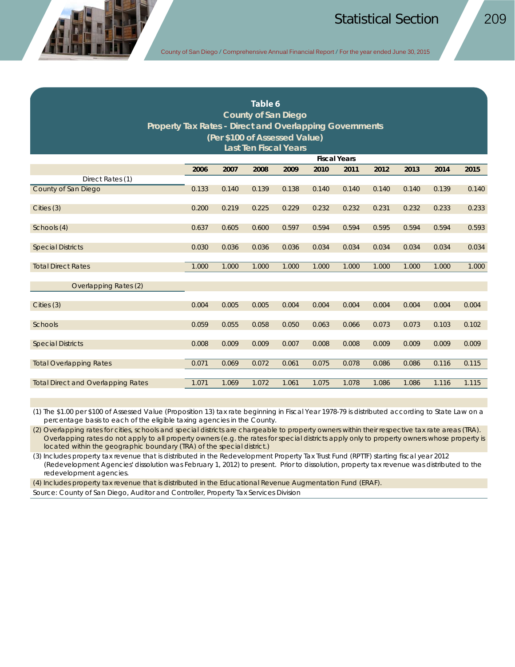

#### **Table 6 County of San Diego**

#### **Property Tax Rates - Direct and Overlapping Governments**

**(Per \$100 of Assessed Value)**

| <b>Last Ten Fiscal Years</b>              |       |       |       |       |       |                     |       |       |       |       |
|-------------------------------------------|-------|-------|-------|-------|-------|---------------------|-------|-------|-------|-------|
|                                           |       |       |       |       |       | <b>Fiscal Years</b> |       |       |       |       |
|                                           | 2006  | 2007  | 2008  | 2009  | 2010  | 2011                | 2012  | 2013  | 2014  | 2015  |
| Direct Rates (1)                          |       |       |       |       |       |                     |       |       |       |       |
| County of San Diego                       | 0.133 | 0.140 | 0.139 | 0.138 | 0.140 | 0.140               | 0.140 | 0.140 | 0.139 | 0.140 |
|                                           |       |       |       |       |       |                     |       |       |       |       |
| Cities $(3)$                              | 0.200 | 0.219 | 0.225 | 0.229 | 0.232 | 0.232               | 0.231 | 0.232 | 0.233 | 0.233 |
|                                           |       |       |       |       |       |                     |       |       |       |       |
| Schools (4)                               | 0.637 | 0.605 | 0.600 | 0.597 | 0.594 | 0.594               | 0.595 | 0.594 | 0.594 | 0.593 |
| <b>Special Districts</b>                  | 0.030 | 0.036 | 0.036 | 0.036 | 0.034 | 0.034               | 0.034 | 0.034 | 0.034 | 0.034 |
|                                           |       |       |       |       |       |                     |       |       |       |       |
| <b>Total Direct Rates</b>                 | 1.000 | 1.000 | 1.000 | 1.000 | 1.000 | 1.000               | 1.000 | 1.000 | 1.000 | 1.000 |
|                                           |       |       |       |       |       |                     |       |       |       |       |
| Overlapping Rates (2)                     |       |       |       |       |       |                     |       |       |       |       |
|                                           |       |       |       |       |       |                     |       |       |       |       |
| Cities (3)                                | 0.004 | 0.005 | 0.005 | 0.004 | 0.004 | 0.004               | 0.004 | 0.004 | 0.004 | 0.004 |
|                                           |       |       |       |       |       |                     |       |       |       |       |
| Schools                                   | 0.059 | 0.055 | 0.058 | 0.050 | 0.063 | 0.066               | 0.073 | 0.073 | 0.103 | 0.102 |
|                                           |       |       |       |       |       |                     |       |       |       |       |
| <b>Special Districts</b>                  | 0.008 | 0.009 | 0.009 | 0.007 | 0.008 | 0.008               | 0.009 | 0.009 | 0.009 | 0.009 |
| <b>Total Overlapping Rates</b>            | 0.071 | 0.069 | 0.072 | 0.061 | 0.075 | 0.078               | 0.086 | 0.086 | 0.116 | 0.115 |
|                                           |       |       |       |       |       |                     |       |       |       |       |
| <b>Total Direct and Overlapping Rates</b> | 1.071 | 1.069 | 1.072 | 1.061 | 1.075 | 1.078               | 1.086 | 1.086 | 1.116 | 1.115 |
|                                           |       |       |       |       |       |                     |       |       |       |       |

(1) The \$1.00 per \$100 of Assessed Value (Proposition 13) tax rate beginning in Fiscal Year 1978-79 is distributed according to State Law on a percentage basis to each of the eligible taxing agencies in the County.

(2) Overlapping rates for cities, schools and special districts are chargeable to property owners within their respective tax rate areas (TRA). Overlapping rates do not apply to all property owners (e.g. the rates for special districts apply only to property owners whose property is located within the geographic boundary (TRA) of the special district.)

(3) Includes property tax revenue that is distributed in the Redevelopment Property Tax Trust Fund (RPTTF) starting fiscal year 2012 (Redevelopment Agencies' dissolution was February 1, 2012) to present. Prior to dissolution, property tax revenue was distributed to the redevelopment agencies.

(4) Includes property tax revenue that is distributed in the Educational Revenue Augmentation Fund (ERAF).

Source: County of San Diego, Auditor and Controller, Property Tax Services Division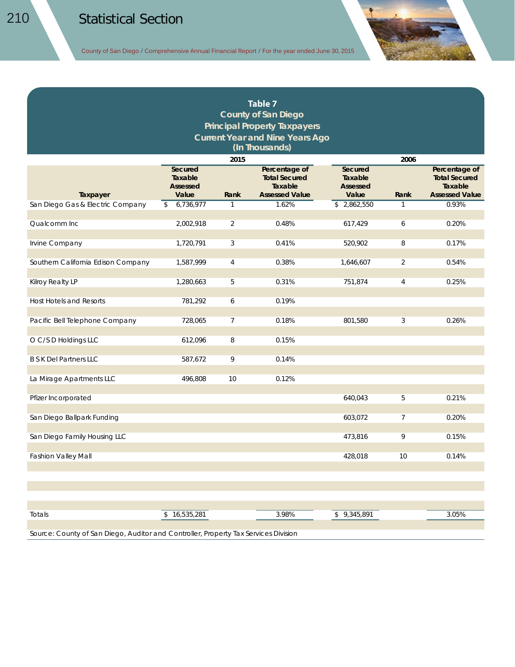## **Table 7**

#### **County of San Diego Principal Property Taxpayers Current Year and Nine Years Ago (In Thousands)**

|                                    | 2015                                           |                |                                                                           | 2006                                           |                |                                                                           |  |  |
|------------------------------------|------------------------------------------------|----------------|---------------------------------------------------------------------------|------------------------------------------------|----------------|---------------------------------------------------------------------------|--|--|
| Taxpayer                           | Secured<br>Taxable<br><b>Assessed</b><br>Value | Rank           | Percentage of<br><b>Total Secured</b><br>Taxable<br><b>Assessed Value</b> | Secured<br>Taxable<br><b>Assessed</b><br>Value | Rank           | Percentage of<br><b>Total Secured</b><br>Taxable<br><b>Assessed Value</b> |  |  |
| San Diego Gas & Electric Company   | 6,736,977<br>$\mathbb{S}$                      | $\mathbf{1}$   | 1.62%                                                                     | \$2,862,550                                    | $\mathbf{1}$   | 0.93%                                                                     |  |  |
|                                    |                                                |                |                                                                           |                                                |                |                                                                           |  |  |
| Qualcomm Inc                       | 2,002,918                                      | $\overline{2}$ | 0.48%                                                                     | 617,429                                        | 6              | 0.20%                                                                     |  |  |
|                                    |                                                |                |                                                                           |                                                |                |                                                                           |  |  |
| Irvine Company                     | 1,720,791                                      | 3              | 0.41%                                                                     | 520,902                                        | 8              | 0.17%                                                                     |  |  |
|                                    |                                                |                |                                                                           |                                                |                |                                                                           |  |  |
| Southern California Edison Company | 1,587,999                                      | $\overline{4}$ | 0.38%                                                                     | 1,646,607                                      | $\overline{2}$ | 0.54%                                                                     |  |  |
|                                    |                                                |                |                                                                           |                                                |                |                                                                           |  |  |
| Kilroy Realty LP                   | 1,280,663                                      | 5              | 0.31%                                                                     | 751,874                                        | 4              | 0.25%                                                                     |  |  |
| <b>Host Hotels and Resorts</b>     |                                                |                | 0.19%                                                                     |                                                |                |                                                                           |  |  |
|                                    | 781,292                                        | 6              |                                                                           |                                                |                |                                                                           |  |  |
| Pacific Bell Telephone Company     | 728,065                                        | $\overline{7}$ | 0.18%                                                                     | 801,580                                        | 3              | 0.26%                                                                     |  |  |
|                                    |                                                |                |                                                                           |                                                |                |                                                                           |  |  |
| O C/S D Holdings LLC               | 612,096                                        | 8              | 0.15%                                                                     |                                                |                |                                                                           |  |  |
|                                    |                                                |                |                                                                           |                                                |                |                                                                           |  |  |
| <b>B S K Del Partners LLC</b>      | 587,672                                        | 9              | 0.14%                                                                     |                                                |                |                                                                           |  |  |
|                                    |                                                |                |                                                                           |                                                |                |                                                                           |  |  |
| La Mirage Apartments LLC           | 496,808                                        | 10             | 0.12%                                                                     |                                                |                |                                                                           |  |  |
|                                    |                                                |                |                                                                           |                                                |                |                                                                           |  |  |
| Pfizer Incorporated                |                                                |                |                                                                           | 640,043                                        | 5              | 0.21%                                                                     |  |  |
|                                    |                                                |                |                                                                           |                                                |                |                                                                           |  |  |
| San Diego Ballpark Funding         |                                                |                |                                                                           | 603,072                                        | $\overline{7}$ | 0.20%                                                                     |  |  |
|                                    |                                                |                |                                                                           |                                                |                |                                                                           |  |  |
| San Diego Family Housing LLC       |                                                |                |                                                                           | 473,816                                        | 9              | 0.15%                                                                     |  |  |
|                                    |                                                |                |                                                                           |                                                |                |                                                                           |  |  |
| Fashion Valley Mall                |                                                |                |                                                                           | 428,018                                        | 10             | 0.14%                                                                     |  |  |
|                                    |                                                |                |                                                                           |                                                |                |                                                                           |  |  |
|                                    |                                                |                |                                                                           |                                                |                |                                                                           |  |  |
|                                    |                                                |                |                                                                           |                                                |                |                                                                           |  |  |
|                                    |                                                |                |                                                                           |                                                |                |                                                                           |  |  |

| Totals                                                                              | \$16.535.281 | 3.98% | \$9.345.891 | 3.05% |  |  |  |  |  |
|-------------------------------------------------------------------------------------|--------------|-------|-------------|-------|--|--|--|--|--|
|                                                                                     |              |       |             |       |  |  |  |  |  |
| Source: County of San Diego, Auditor and Controller, Property Tax Services Division |              |       |             |       |  |  |  |  |  |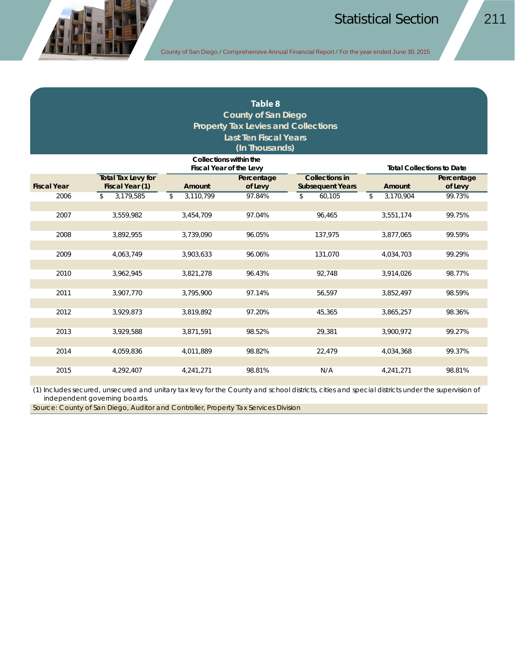### **Table 8 County of San Diego Property Tax Levies and Collections Last Ten Fiscal Years (In Thousands)**

|                    |                           |                 | <b>Total Collections to Date</b>                 |                         |                 |            |
|--------------------|---------------------------|-----------------|--------------------------------------------------|-------------------------|-----------------|------------|
|                    | <b>Total Tax Levy for</b> |                 | Fiscal Year of the Levy<br><b>Collections in</b> |                         |                 | Percentage |
| <b>Fiscal Year</b> | Fiscal Year (1)           | Amount          | Percentage<br>of Levy                            | <b>Subsequent Years</b> | Amount          | of Levy    |
| 2006               | 3,179,585<br>\$           | \$<br>3,110,799 | 97.84%                                           | 60,105<br>\$            | 3,170,904<br>\$ | 99.73%     |
|                    |                           |                 |                                                  |                         |                 |            |
| 2007               | 3,559,982                 | 3,454,709       | 97.04%                                           | 96,465                  | 3,551,174       | 99.75%     |
|                    |                           |                 |                                                  |                         |                 |            |
| 2008               | 3,892,955                 | 3,739,090       | 96.05%                                           | 137,975                 | 3,877,065       | 99.59%     |
|                    |                           |                 |                                                  |                         |                 |            |
| 2009               | 4,063,749                 | 3,903,633       | 96.06%                                           | 131,070                 | 4,034,703       | 99.29%     |
|                    |                           |                 |                                                  |                         |                 |            |
| 2010               | 3,962,945                 | 3,821,278       | 96.43%                                           | 92,748                  | 3,914,026       | 98.77%     |
|                    |                           |                 |                                                  |                         |                 |            |
| 2011               | 3,907,770                 | 3,795,900       | 97.14%                                           | 56,597                  | 3,852,497       | 98.59%     |
|                    |                           |                 |                                                  |                         |                 |            |
| 2012               | 3,929,873                 | 3,819,892       | 97.20%                                           | 45,365                  | 3,865,257       | 98.36%     |
|                    |                           |                 |                                                  |                         |                 |            |
| 2013               | 3,929,588                 | 3,871,591       | 98.52%                                           | 29,381                  | 3,900,972       | 99.27%     |
|                    |                           |                 |                                                  |                         |                 |            |
| 2014               | 4,059,836                 | 4,011,889       | 98.82%                                           | 22,479                  | 4,034,368       | 99.37%     |
|                    |                           |                 |                                                  |                         |                 |            |
| 2015               | 4,292,407                 | 4,241,271       | 98.81%                                           | N/A                     | 4,241,271       | 98.81%     |
|                    |                           |                 |                                                  |                         |                 |            |

(1) Includes secured, unsecured and unitary tax levy for the County and school districts, cities and special districts under the supervision of independent governing boards.

Source: County of San Diego, Auditor and Controller, Property Tax Services Division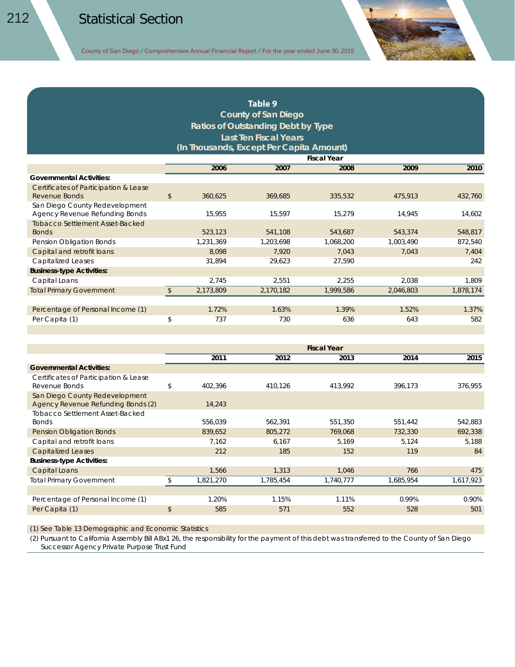## **Table 9**

### **County of San Diego Ratios of Outstanding Debt by Type Last Ten Fiscal Years (In Thousands, Except Per Capita Amount)**

|                                                                  | <b>Fiscal Year</b> |           |           |           |           |  |  |  |  |
|------------------------------------------------------------------|--------------------|-----------|-----------|-----------|-----------|--|--|--|--|
|                                                                  | 2006               | 2007      | 2008      | 2009      | 2010      |  |  |  |  |
| <b>Governmental Activities:</b>                                  |                    |           |           |           |           |  |  |  |  |
| Certificates of Participation & Lease<br>Revenue Bonds           | \$<br>360,625      | 369,685   | 335,532   | 475,913   | 432,760   |  |  |  |  |
| San Diego County Redevelopment<br>Agency Revenue Refunding Bonds | 15,955             | 15,597    | 15,279    | 14,945    | 14,602    |  |  |  |  |
| <b>Tobacco Settlement Asset-Backed</b>                           |                    |           |           |           |           |  |  |  |  |
| <b>Bonds</b>                                                     | 523,123            | 541,108   | 543,687   | 543,374   | 548,817   |  |  |  |  |
| Pension Obligation Bonds                                         | 1,231,369          | 1,203,698 | 1,068,200 | 1,003,490 | 872,540   |  |  |  |  |
| Capital and retrofit loans                                       | 8,098              | 7,920     | 7,043     | 7,043     | 7,404     |  |  |  |  |
| Capitalized Leases                                               | 31,894             | 29,623    | 27,590    |           | 242       |  |  |  |  |
| <b>Business-type Activities:</b>                                 |                    |           |           |           |           |  |  |  |  |
| Capital Loans                                                    | 2,745              | 2,551     | 2,255     | 2,038     | 1,809     |  |  |  |  |
| <b>Total Primary Government</b>                                  | 2,173,809          | 2,170,182 | 1,999,586 | 2,046,803 | 1,878,174 |  |  |  |  |
|                                                                  |                    |           |           |           |           |  |  |  |  |
| Percentage of Personal Income (1)                                | 1.72%              | 1.63%     | 1.39%     | 1.52%     | 1.37%     |  |  |  |  |
| Per Capita (1)                                                   | \$<br>737          | 730       | 636       | 643       | 582       |  |  |  |  |

|                                                                      | <b>Fiscal Year</b> |           |           |           |           |           |  |  |  |
|----------------------------------------------------------------------|--------------------|-----------|-----------|-----------|-----------|-----------|--|--|--|
|                                                                      |                    | 2011      | 2012      | 2013      | 2014      | 2015      |  |  |  |
| <b>Governmental Activities:</b>                                      |                    |           |           |           |           |           |  |  |  |
| Certificates of Participation & Lease<br>Revenue Bonds               | \$                 | 402.396   | 410.126   | 413,992   | 396.173   | 376,955   |  |  |  |
| San Diego County Redevelopment<br>Agency Revenue Refunding Bonds (2) |                    | 14,243    |           |           |           |           |  |  |  |
| Tobacco Settlement Asset-Backed<br><b>Bonds</b>                      |                    | 556,039   | 562,391   | 551,350   | 551,442   | 542,883   |  |  |  |
| <b>Pension Obligation Bonds</b>                                      |                    | 839,652   | 805,272   | 769,068   | 732,330   | 692,338   |  |  |  |
| Capital and retrofit loans                                           |                    | 7,162     | 6.167     | 5,169     | 5,124     | 5,188     |  |  |  |
| <b>Capitalized Leases</b>                                            |                    | 212       | 185       | 152       | 119       | 84        |  |  |  |
| <b>Business-type Activities:</b>                                     |                    |           |           |           |           |           |  |  |  |
| Capital Loans                                                        |                    | 1,566     | 1.313     | 1,046     | 766       | 475       |  |  |  |
| <b>Total Primary Government</b>                                      |                    | 1,821,270 | 1,785,454 | 1,740,777 | 1,685,954 | 1,617,923 |  |  |  |
|                                                                      |                    |           |           |           |           |           |  |  |  |
| Percentage of Personal Income (1)                                    |                    | 1.20%     | 1.15%     | 1.11%     | 0.99%     | 0.90%     |  |  |  |
| Per Capita (1)                                                       | \$                 | 585       | 571       | 552       | 528       | 501       |  |  |  |

#### (1) See Table 13 Demographic and Economic Statistics

(2) Pursuant to California Assembly Bill ABx1 26, the responsibility for the payment of this debt was transferred to the County of San Diego Successor Agency Private Purpose Trust Fund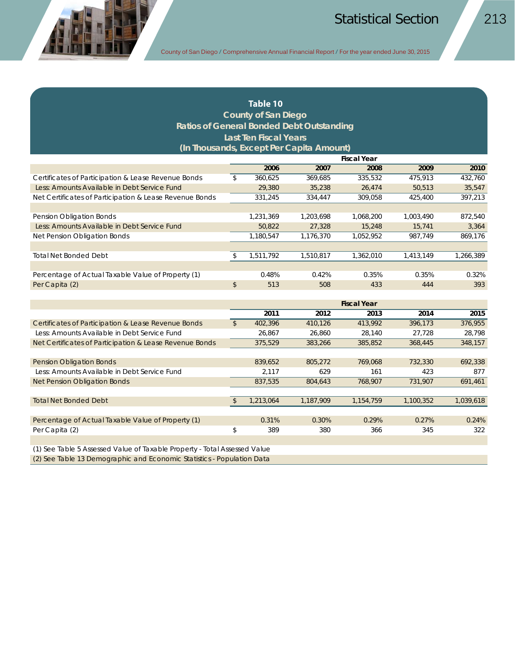

### **Table 10 County of San Diego Ratios of General Bonded Debt Outstanding Last Ten Fiscal Years (In Thousands, Except Per Capita Amount)**

|                                                         | <b>Fiscal Year</b> |           |           |           |           |           |  |
|---------------------------------------------------------|--------------------|-----------|-----------|-----------|-----------|-----------|--|
|                                                         |                    | 2006      | 2007      | 2008      | 2009      | 2010      |  |
| Certificates of Participation & Lease Revenue Bonds     | \$                 | 360,625   | 369,685   | 335,532   | 475,913   | 432.760   |  |
| Less: Amounts Available in Debt Service Fund            |                    | 29,380    | 35,238    | 26.474    | 50,513    | 35,547    |  |
| Net Certificates of Participation & Lease Revenue Bonds |                    | 331,245   | 334,447   | 309,058   | 425,400   | 397,213   |  |
|                                                         |                    |           |           |           |           |           |  |
| Pension Obligation Bonds                                |                    | 1,231,369 | 1,203,698 | 1,068,200 | 1,003,490 | 872,540   |  |
| Less: Amounts Available in Debt Service Fund            |                    | 50.822    | 27,328    | 15,248    | 15,741    | 3,364     |  |
| Net Pension Obligation Bonds                            |                    | 1,180,547 | 1,176,370 | 1.052.952 | 987.749   | 869.176   |  |
|                                                         |                    |           |           |           |           |           |  |
| <b>Total Net Bonded Debt</b>                            |                    | 1.511.792 | 1,510,817 | 1.362.010 | 1.413.149 | 1,266,389 |  |
|                                                         |                    |           |           |           |           |           |  |
| Percentage of Actual Taxable Value of Property (1)      |                    | 0.48%     | 0.42%     | 0.35%     | 0.35%     | 0.32%     |  |
| Per Capita (2)                                          | \$                 | 513       | 508       | 433       | 444       | 393       |  |
|                                                         |                    |           |           |           |           |           |  |

|                                                                           |     | <b>Fiscal Year</b> |           |           |           |           |  |  |  |  |
|---------------------------------------------------------------------------|-----|--------------------|-----------|-----------|-----------|-----------|--|--|--|--|
|                                                                           |     | 2011               | 2012      | 2013      | 2014      | 2015      |  |  |  |  |
| Certificates of Participation & Lease Revenue Bonds                       | \$  | 402,396            | 410,126   | 413,992   | 396,173   | 376,955   |  |  |  |  |
| Less: Amounts Available in Debt Service Fund                              |     | 26,867             | 26,860    | 28,140    | 27.728    | 28,798    |  |  |  |  |
| Net Certificates of Participation & Lease Revenue Bonds                   |     | 375,529            | 383,266   | 385,852   | 368,445   | 348,157   |  |  |  |  |
|                                                                           |     |                    |           |           |           |           |  |  |  |  |
| <b>Pension Obligation Bonds</b>                                           |     | 839,652            | 805,272   | 769,068   | 732,330   | 692,338   |  |  |  |  |
| Less: Amounts Available in Debt Service Fund                              |     | 2,117              | 629       | 161       | 423       | 877       |  |  |  |  |
| Net Pension Obligation Bonds                                              |     | 837,535            | 804,643   | 768,907   | 731,907   | 691,461   |  |  |  |  |
|                                                                           |     |                    |           |           |           |           |  |  |  |  |
| <b>Total Net Bonded Debt</b>                                              | \$. | 1,213,064          | 1,187,909 | 1,154,759 | 1,100,352 | 1,039,618 |  |  |  |  |
|                                                                           |     |                    |           |           |           |           |  |  |  |  |
| Percentage of Actual Taxable Value of Property (1)                        |     | 0.31%              | 0.30%     | 0.29%     | 0.27%     | 0.24%     |  |  |  |  |
| Per Capita (2)                                                            | \$  | 389                | 380       | 366       | 345       | 322       |  |  |  |  |
|                                                                           |     |                    |           |           |           |           |  |  |  |  |
| (1) See Table 5 Assessed Value of Taxable Property - Total Assessed Value |     |                    |           |           |           |           |  |  |  |  |
| (2) See Table 13 Demographic and Economic Statistics - Population Data    |     |                    |           |           |           |           |  |  |  |  |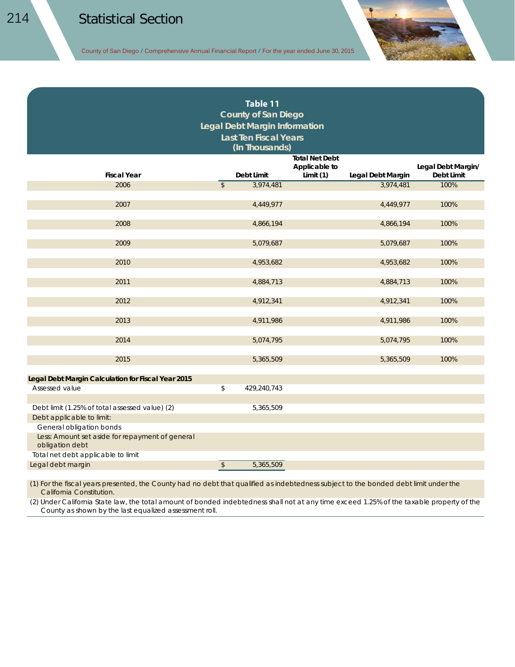## **Table 11**

#### **County of San Diego Legal Debt Margin Information Last Ten Fiscal Years (In Thousands)**

|                                                                    |                |                   | <b>Total Net Debt</b><br>Applicable to |                   |                                  |
|--------------------------------------------------------------------|----------------|-------------------|----------------------------------------|-------------------|----------------------------------|
| <b>Fiscal Year</b>                                                 |                | <b>Debt Limit</b> | Limit (1)                              | Legal Debt Margin | Legal Debt Margin/<br>Debt Limit |
| 2006                                                               | $\mathfrak{S}$ | 3,974,481         |                                        | 3,974,481         | 100%                             |
|                                                                    |                |                   |                                        |                   |                                  |
| 2007                                                               |                | 4,449,977         |                                        | 4,449,977         | 100%                             |
|                                                                    |                |                   |                                        |                   |                                  |
| 2008                                                               |                | 4,866,194         |                                        | 4,866,194         | 100%                             |
|                                                                    |                |                   |                                        |                   |                                  |
| 2009                                                               |                | 5,079,687         |                                        | 5,079,687         | 100%                             |
| 2010                                                               |                | 4,953,682         |                                        | 4,953,682         | 100%                             |
|                                                                    |                |                   |                                        |                   |                                  |
| 2011                                                               |                | 4,884,713         |                                        | 4,884,713         | 100%                             |
|                                                                    |                |                   |                                        |                   |                                  |
| 2012                                                               |                | 4,912,341         |                                        | 4,912,341         | 100%                             |
|                                                                    |                |                   |                                        |                   |                                  |
| 2013                                                               |                | 4,911,986         |                                        | 4,911,986         | 100%                             |
|                                                                    |                |                   |                                        |                   |                                  |
| 2014                                                               |                | 5,074,795         |                                        | 5,074,795         | 100%                             |
|                                                                    |                |                   |                                        |                   |                                  |
| 2015                                                               |                | 5,365,509         |                                        | 5,365,509         | 100%                             |
| Legal Debt Margin Calculation for Fiscal Year 2015                 |                |                   |                                        |                   |                                  |
| Assessed value                                                     | \$             | 429,240,743       |                                        |                   |                                  |
|                                                                    |                |                   |                                        |                   |                                  |
| Debt limit (1.25% of total assessed value) (2)                     |                | 5,365,509         |                                        |                   |                                  |
| Debt applicable to limit:                                          |                |                   |                                        |                   |                                  |
| General obligation bonds                                           |                |                   |                                        |                   |                                  |
| Less: Amount set aside for repayment of general<br>obligation debt |                |                   |                                        |                   |                                  |
| Total net debt applicable to limit                                 |                |                   |                                        |                   |                                  |
| Legal debt margin                                                  | $\,$           | 5,365,509         |                                        |                   |                                  |
|                                                                    |                |                   |                                        |                   |                                  |

(1) For the fiscal years presented, the County had no debt that qualified as indebtedness subject to the bonded debt limit under the California Constitution.

(2) Under California State law, the total amount of bonded indebtedness shall not at any time exceed 1.25% of the taxable property of the County as shown by the last equalized assessment roll.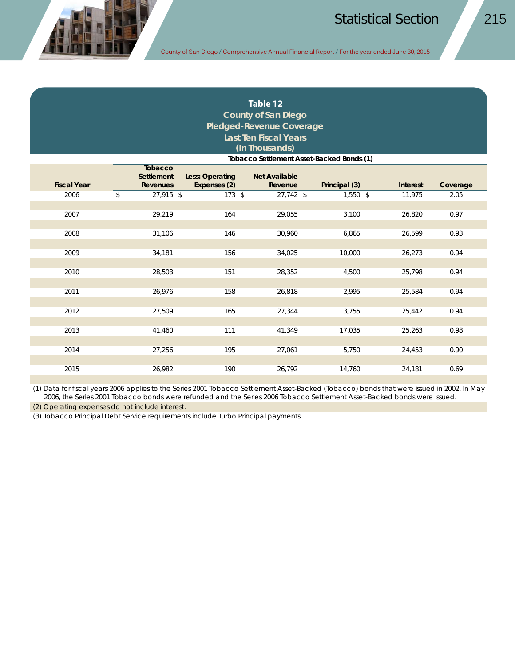## **Table 12 County of San Diego Pledged-Revenue Coverage**

**Last Ten Fiscal Years (In Thousands)**

#### **Tobacco Settlement Asset-Backed Bonds (1)**

| <b>Fiscal Year</b> | Tobacco<br>Settlement<br><b>Revenues</b> | Less: Operating<br>Expenses (2) | <b>Net Available</b><br>Revenue | Principal (3) | <b>Interest</b> | Coverage |
|--------------------|------------------------------------------|---------------------------------|---------------------------------|---------------|-----------------|----------|
| 2006               | 27,915 \$<br>\$                          | $173$ \$                        | 27,742 \$                       | $1,550$ \$    | 11,975          | 2.05     |
|                    |                                          |                                 |                                 |               |                 |          |
| 2007               | 29,219                                   | 164                             | 29,055                          | 3,100         | 26,820          | 0.97     |
|                    |                                          |                                 |                                 |               |                 |          |
| 2008               | 31,106                                   | 146                             | 30,960                          | 6,865         | 26,599          | 0.93     |
|                    |                                          |                                 |                                 |               |                 |          |
| 2009               | 34,181                                   | 156                             | 34,025                          | 10,000        | 26,273          | 0.94     |
|                    |                                          |                                 |                                 |               |                 |          |
| 2010               | 28,503                                   | 151                             | 28,352                          | 4,500         | 25,798          | 0.94     |
|                    |                                          |                                 |                                 |               |                 |          |
| 2011               | 26,976                                   | 158                             | 26,818                          | 2,995         | 25,584          | 0.94     |
|                    |                                          |                                 |                                 |               |                 |          |
| 2012               | 27,509                                   | 165                             | 27,344                          | 3,755         | 25,442          | 0.94     |
|                    |                                          |                                 |                                 |               |                 |          |
| 2013               | 41,460                                   | 111                             | 41,349                          | 17,035        | 25,263          | 0.98     |
|                    |                                          |                                 |                                 |               |                 |          |
| 2014               | 27,256                                   | 195                             | 27,061                          | 5,750         | 24,453          | 0.90     |
|                    |                                          |                                 |                                 |               |                 |          |
| 2015               | 26,982                                   | 190                             | 26,792                          | 14,760        | 24,181          | 0.69     |

(1) Data for fiscal years 2006 applies to the Series 2001 Tobacco Settlement Asset-Backed (Tobacco) bonds that were issued in 2002. In May 2006, the Series 2001 Tobacco bonds were refunded and the Series 2006 Tobacco Settlement Asset-Backed bonds were issued.

(2) Operating expenses do not include interest.

(3) Tobacco Principal Debt Service requirements include Turbo Principal payments.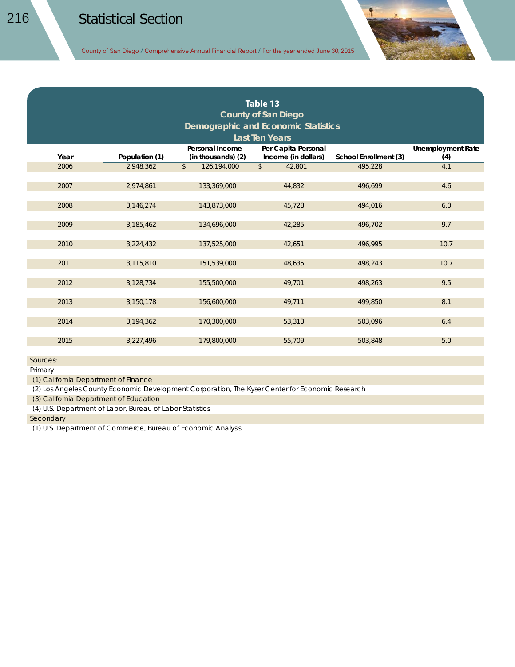# **Table 13 County of San Diego**

**Demographic and Economic Statistics**

| Last Ten Years |                |                                       |                                            |                       |                                 |  |  |  |  |
|----------------|----------------|---------------------------------------|--------------------------------------------|-----------------------|---------------------------------|--|--|--|--|
| Year           | Population (1) | Personal Income<br>(in thousands) (2) | Per Capita Personal<br>Income (in dollars) | School Enrollment (3) | <b>Unemployment Rate</b><br>(4) |  |  |  |  |
| 2006           | 2,948,362      | $\sqrt{2}$<br>126,194,000             | $\frac{1}{2}$<br>42,801                    | 495,228               | 4.1                             |  |  |  |  |
|                |                |                                       |                                            |                       |                                 |  |  |  |  |
| 2007           | 2,974,861      | 133,369,000                           | 44,832                                     | 496,699               | 4.6                             |  |  |  |  |
|                |                |                                       |                                            |                       |                                 |  |  |  |  |
| 2008           | 3,146,274      | 143,873,000                           | 45,728                                     | 494,016               | 6.0                             |  |  |  |  |
|                |                |                                       |                                            |                       |                                 |  |  |  |  |
| 2009           | 3,185,462      | 134,696,000                           | 42,285                                     | 496,702               | 9.7                             |  |  |  |  |
|                |                |                                       |                                            |                       |                                 |  |  |  |  |
| 2010           | 3,224,432      | 137,525,000                           | 42,651                                     | 496,995               | 10.7                            |  |  |  |  |
|                |                |                                       |                                            |                       |                                 |  |  |  |  |
| 2011           | 3,115,810      | 151,539,000                           | 48,635                                     | 498,243               | 10.7                            |  |  |  |  |
| 2012           | 3,128,734      | 155,500,000                           | 49,701                                     | 498,263               | 9.5                             |  |  |  |  |
|                |                |                                       |                                            |                       |                                 |  |  |  |  |
| 2013           | 3,150,178      | 156,600,000                           | 49,711                                     | 499,850               | 8.1                             |  |  |  |  |
|                |                |                                       |                                            |                       |                                 |  |  |  |  |
| 2014           | 3,194,362      | 170,300,000                           | 53,313                                     | 503,096               | 6.4                             |  |  |  |  |
|                |                |                                       |                                            |                       |                                 |  |  |  |  |
| 2015           | 3,227,496      | 179,800,000                           | 55,709                                     | 503,848               | 5.0                             |  |  |  |  |
|                |                |                                       |                                            |                       |                                 |  |  |  |  |

Sources:

Primary

(1) California Department of Finance

(2) Los Angeles County Economic Development Corporation, The Kyser Center for Economic Research

(3) California Department of Education

(4) U.S. Department of Labor, Bureau of Labor Statistics

Secondary

(1) U.S. Department of Commerce, Bureau of Economic Analysis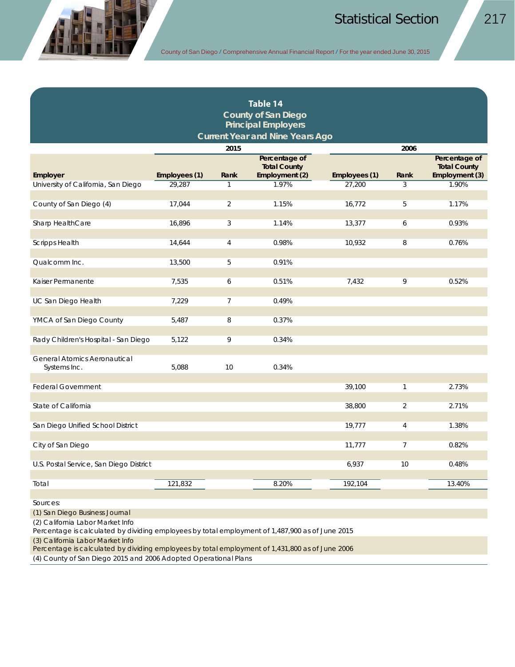

|                                                                                                 |               |                | Table 14                             |               |                |                                      |  |  |  |                                        |
|-------------------------------------------------------------------------------------------------|---------------|----------------|--------------------------------------|---------------|----------------|--------------------------------------|--|--|--|----------------------------------------|
| <b>County of San Diego</b><br><b>Principal Employers</b>                                        |               |                |                                      |               |                |                                      |  |  |  |                                        |
|                                                                                                 |               |                |                                      |               |                |                                      |  |  |  | <b>Current Year and Nine Years Ago</b> |
| 2015<br>2006                                                                                    |               |                |                                      |               |                |                                      |  |  |  |                                        |
|                                                                                                 |               |                | Percentage of<br><b>Total County</b> |               |                | Percentage of<br><b>Total County</b> |  |  |  |                                        |
| Employer                                                                                        | Employees (1) | Rank           | Employment (2)                       | Employees (1) | Rank           | Employment (3)                       |  |  |  |                                        |
| University of California, San Diego                                                             | 29,287        | 1              | 1.97%                                | 27,200        | 3              | 1.90%                                |  |  |  |                                        |
| County of San Diego (4)                                                                         | 17,044        | $\overline{2}$ | 1.15%                                | 16,772        | 5              | 1.17%                                |  |  |  |                                        |
| Sharp HealthCare                                                                                | 16,896        | 3              | 1.14%                                | 13,377        | 6              | 0.93%                                |  |  |  |                                        |
|                                                                                                 |               |                |                                      |               |                |                                      |  |  |  |                                        |
| <b>Scripps Health</b>                                                                           | 14,644        | 4              | 0.98%                                | 10,932        | 8              | 0.76%                                |  |  |  |                                        |
| Qualcomm Inc.                                                                                   | 13,500        | 5              | 0.91%                                |               |                |                                      |  |  |  |                                        |
|                                                                                                 |               |                |                                      |               |                |                                      |  |  |  |                                        |
| Kaiser Permanente                                                                               | 7,535         | 6              | 0.51%                                | 7,432         | 9              | 0.52%                                |  |  |  |                                        |
|                                                                                                 |               |                |                                      |               |                |                                      |  |  |  |                                        |
| UC San Diego Health                                                                             | 7,229         | 7              | 0.49%                                |               |                |                                      |  |  |  |                                        |
|                                                                                                 |               |                |                                      |               |                |                                      |  |  |  |                                        |
| YMCA of San Diego County                                                                        | 5,487         | 8              | 0.37%                                |               |                |                                      |  |  |  |                                        |
| Rady Children's Hospital - San Diego                                                            | 5,122         | 9              | 0.34%                                |               |                |                                      |  |  |  |                                        |
|                                                                                                 |               |                |                                      |               |                |                                      |  |  |  |                                        |
| <b>General Atomics Aeronautical</b>                                                             |               |                |                                      |               |                |                                      |  |  |  |                                        |
| Systems Inc.                                                                                    | 5,088         | 10             | 0.34%                                |               |                |                                      |  |  |  |                                        |
| <b>Federal Government</b>                                                                       |               |                |                                      | 39,100        | 1              | 2.73%                                |  |  |  |                                        |
|                                                                                                 |               |                |                                      |               |                |                                      |  |  |  |                                        |
| State of California                                                                             |               |                |                                      | 38,800        | $\overline{2}$ | 2.71%                                |  |  |  |                                        |
|                                                                                                 |               |                |                                      |               |                |                                      |  |  |  |                                        |
| San Diego Unified School District                                                               |               |                |                                      | 19,777        | 4              | 1.38%                                |  |  |  |                                        |
| City of San Diego                                                                               |               |                |                                      | 11,777        | $\overline{7}$ | 0.82%                                |  |  |  |                                        |
|                                                                                                 |               |                |                                      |               |                |                                      |  |  |  |                                        |
| U.S. Postal Service, San Diego District                                                         |               |                |                                      | 6,937         | 10             | 0.48%                                |  |  |  |                                        |
|                                                                                                 |               |                |                                      |               |                |                                      |  |  |  |                                        |
| Total                                                                                           | 121,832       |                | 8.20%                                | 192,104       |                | 13.40%                               |  |  |  |                                        |
| Sources:                                                                                        |               |                |                                      |               |                |                                      |  |  |  |                                        |
| (1) San Diego Business Journal                                                                  |               |                |                                      |               |                |                                      |  |  |  |                                        |
| (2) California Labor Market Info                                                                |               |                |                                      |               |                |                                      |  |  |  |                                        |
| Percentage is calculated by dividing employees by total employment of 1,487,900 as of June 2015 |               |                |                                      |               |                |                                      |  |  |  |                                        |
| (3) California Labor Market Info                                                                |               |                |                                      |               |                |                                      |  |  |  |                                        |

Percentage is calculated by dividing employees by total employment of 1,431,800 as of June 2006

(4) County of San Diego 2015 and 2006 Adopted Operational Plans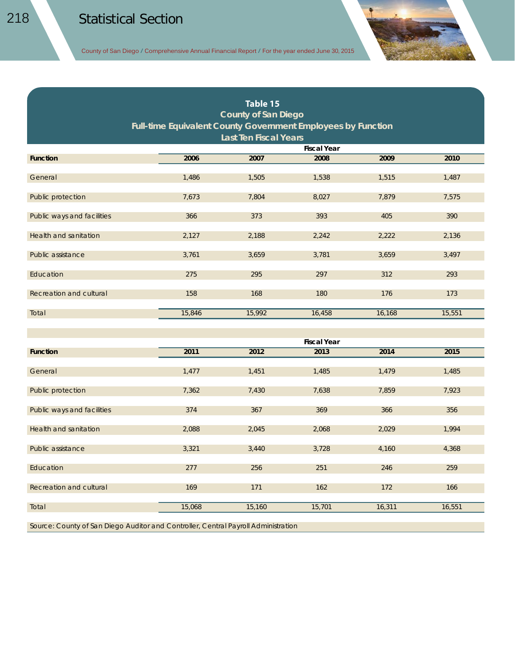| Table 15<br><b>County of San Diego</b><br>Full-time Equivalent County Government Employees by Function |                    |        |        |        |        |  |  |  |  |
|--------------------------------------------------------------------------------------------------------|--------------------|--------|--------|--------|--------|--|--|--|--|
| <b>Last Ten Fiscal Years</b><br><b>Fiscal Year</b>                                                     |                    |        |        |        |        |  |  |  |  |
| <b>Function</b>                                                                                        | 2006               | 2007   | 2008   | 2009   | 2010   |  |  |  |  |
| General                                                                                                | 1,486              | 1,505  | 1,538  | 1,515  | 1,487  |  |  |  |  |
| Public protection                                                                                      | 7,673              | 7,804  | 8,027  | 7,879  | 7,575  |  |  |  |  |
| Public ways and facilities                                                                             | 366                | 373    | 393    | 405    | 390    |  |  |  |  |
| Health and sanitation                                                                                  | 2,127              | 2,188  | 2,242  | 2,222  | 2,136  |  |  |  |  |
| Public assistance                                                                                      | 3,761              | 3,659  | 3,781  | 3,659  | 3,497  |  |  |  |  |
| Education                                                                                              | 275                | 295    | 297    | 312    | 293    |  |  |  |  |
| Recreation and cultural                                                                                | 158                | 168    | 180    | 176    | 173    |  |  |  |  |
| Total                                                                                                  | 15,846             | 15,992 | 16,458 | 16,168 | 15,551 |  |  |  |  |
|                                                                                                        |                    |        |        |        |        |  |  |  |  |
|                                                                                                        | <b>Fiscal Year</b> |        |        |        |        |  |  |  |  |
| <b>Function</b>                                                                                        | 2011               | 2012   | 2013   | 2014   | 2015   |  |  |  |  |
| General                                                                                                | 1,477              | 1,451  | 1,485  | 1,479  | 1,485  |  |  |  |  |
| Public protection                                                                                      | 7,362              | 7,430  | 7,638  | 7,859  | 7,923  |  |  |  |  |
| Public ways and facilities                                                                             | 374                | 367    | 369    | 366    | 356    |  |  |  |  |
| Health and sanitation                                                                                  | 2,088              | 2,045  | 2,068  | 2,029  | 1,994  |  |  |  |  |
| Public assistance                                                                                      | 3,321              | 3,440  | 3,728  | 4,160  | 4,368  |  |  |  |  |
| Education                                                                                              | 277                | 256    | 251    | 246    | 259    |  |  |  |  |
| Recreation and cultural                                                                                | 169                | 171    | 162    | 172    | 166    |  |  |  |  |

Total 15,068 15,160 15,701 16,311 16,551

Source: County of San Diego Auditor and Controller, Central Payroll Administration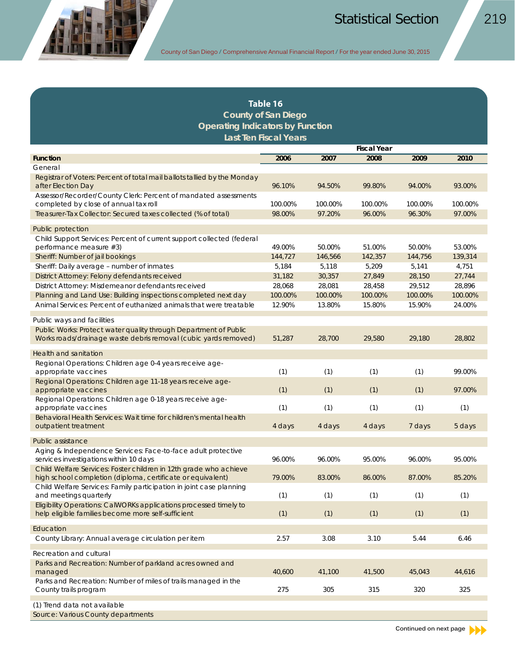

### **Table 16 County of San Diego Operating Indicators by Function Last Ten Fiscal Years**

|                                                                                                                                     | <b>Fiscal Year</b> |         |         |         |         |
|-------------------------------------------------------------------------------------------------------------------------------------|--------------------|---------|---------|---------|---------|
| <b>Function</b>                                                                                                                     | 2006               | 2007    | 2008    | 2009    | 2010    |
| General                                                                                                                             |                    |         |         |         |         |
| Registrar of Voters: Percent of total mail ballots tallied by the Monday<br>after Election Day                                      | 96.10%             | 94.50%  | 99.80%  | 94.00%  | 93.00%  |
| Assessor/Recorder/County Clerk: Percent of mandated assessments<br>completed by close of annual tax roll                            | 100.00%            | 100.00% | 100.00% | 100.00% | 100.00% |
| Treasurer-Tax Collector: Secured taxes collected (% of total)                                                                       | 98.00%             | 97.20%  | 96.00%  | 96.30%  | 97.00%  |
| Public protection                                                                                                                   |                    |         |         |         |         |
| Child Support Services: Percent of current support collected (federal<br>performance measure #3)                                    | 49.00%             | 50.00%  | 51.00%  | 50.00%  | 53.00%  |
| Sheriff: Number of jail bookings                                                                                                    | 144,727            | 146,566 | 142,357 | 144,756 | 139,314 |
| Sheriff: Daily average - number of inmates                                                                                          | 5,184              | 5,118   | 5,209   | 5,141   | 4,751   |
| District Attorney: Felony defendants received                                                                                       | 31,182             | 30,357  | 27,849  | 28,150  | 27,744  |
| District Attorney: Misdemeanor defendants received                                                                                  | 28,068             | 28,081  | 28,458  | 29,512  | 28,896  |
| Planning and Land Use: Building inspections completed next day                                                                      | 100.00%            | 100.00% | 100.00% | 100.00% | 100.00% |
| Animal Services: Percent of euthanized animals that were treatable                                                                  | 12.90%             | 13.80%  | 15.80%  | 15.90%  | 24.00%  |
|                                                                                                                                     |                    |         |         |         |         |
| Public ways and facilities                                                                                                          |                    |         |         |         |         |
| Public Works: Protect water quality through Department of Public<br>Works roads/drainage waste debris removal (cubic yards removed) | 51,287             | 28,700  | 29,580  | 29,180  | 28,802  |
| <b>Health and sanitation</b>                                                                                                        |                    |         |         |         |         |
| Regional Operations: Children age 0-4 years receive age-<br>appropriate vaccines                                                    | (1)                | (1)     | (1)     | (1)     | 99.00%  |
| Regional Operations: Children age 11-18 years receive age-<br>appropriate vaccines                                                  | (1)                | (1)     | (1)     | (1)     | 97.00%  |
| Regional Operations: Children age 0-18 years receive age-<br>appropriate vaccines                                                   | (1)                | (1)     | (1)     | (1)     | (1)     |
| Behavioral Health Services: Wait time for children's mental health<br>outpatient treatment                                          | 4 days             | 4 days  | 4 days  | 7 days  | 5 days  |
|                                                                                                                                     |                    |         |         |         |         |
| <b>Public assistance</b>                                                                                                            |                    |         |         |         |         |
| Aging & Independence Services: Face-to-face adult protective<br>services investigations within 10 days                              | 96.00%             | 96.00%  | 95.00%  | 96.00%  | 95.00%  |
| Child Welfare Services: Foster children in 12th grade who achieve<br>high school completion (diploma, certificate or equivalent)    | 79.00%             | 83.00%  | 86.00%  | 87.00%  | 85.20%  |
| Child Welfare Services: Family participation in joint case planning<br>and meetings quarterly                                       | (1)                | (1)     | (1)     | (1)     | (1)     |
| Eligibility Operations: CalWORKs applications processed timely to<br>help eligible families become more self-sufficient             | (1)                | (1)     | (1)     | (1)     | (1)     |
| Education                                                                                                                           |                    |         |         |         |         |
| County Library: Annual average circulation per item                                                                                 | 2.57               | 3.08    | 3.10    | 5.44    | 6.46    |
| Recreation and cultural                                                                                                             |                    |         |         |         |         |
| Parks and Recreation: Number of parkland acres owned and<br>managed                                                                 | 40,600             | 41,100  | 41,500  | 45,043  | 44,616  |
| Parks and Recreation: Number of miles of trails managed in the                                                                      |                    |         |         |         |         |
| County trails program                                                                                                               | 275                | 305     | 315     | 320     | 325     |
| (1) Trend data not available                                                                                                        |                    |         |         |         |         |
| Source: Various County departments                                                                                                  |                    |         |         |         |         |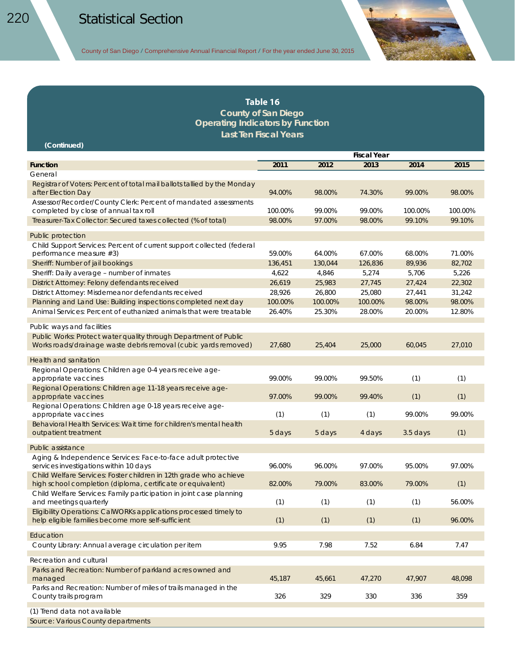#### **Table 16 County of San Diego Operating Indicators by Function Last Ten Fiscal Years**

| (Continued)                                                                                                                      |                    |         |         |            |         |
|----------------------------------------------------------------------------------------------------------------------------------|--------------------|---------|---------|------------|---------|
|                                                                                                                                  | <b>Fiscal Year</b> |         |         |            |         |
| <b>Function</b>                                                                                                                  | 2011               | 2012    | 2013    | 2014       | 2015    |
| General                                                                                                                          |                    |         |         |            |         |
| Registrar of Voters: Percent of total mail ballots tallied by the Monday<br>after Election Day                                   | 94.00%             | 98.00%  | 74.30%  | 99.00%     | 98.00%  |
| Assessor/Recorder/County Clerk: Percent of mandated assessments<br>completed by close of annual tax roll                         | 100.00%            | 99.00%  | 99.00%  | 100.00%    | 100.00% |
| Treasurer-Tax Collector: Secured taxes collected (% of total)                                                                    | 98.00%             | 97.00%  | 98.00%  | 99.10%     | 99.10%  |
| Public protection                                                                                                                |                    |         |         |            |         |
| Child Support Services: Percent of current support collected (federal                                                            |                    |         |         |            |         |
| performance measure #3)                                                                                                          | 59.00%             | 64.00%  | 67.00%  | 68.00%     | 71.00%  |
| Sheriff: Number of jail bookings                                                                                                 | 136,451            | 130,044 | 126,836 | 89,936     | 82,702  |
| Sheriff: Daily average - number of inmates                                                                                       | 4,622              | 4,846   | 5,274   | 5,706      | 5,226   |
| District Attorney: Felony defendants received                                                                                    | 26,619             | 25,983  | 27,745  | 27,424     | 22,302  |
| District Attorney: Misdemeanor defendants received                                                                               | 28,926             | 26,800  | 25,080  | 27,441     | 31,242  |
| Planning and Land Use: Building inspections completed next day                                                                   | 100.00%            | 100.00% | 100.00% | 98.00%     | 98.00%  |
| Animal Services: Percent of euthanized animals that were treatable                                                               | 26.40%             | 25.30%  | 28.00%  | 20.00%     | 12.80%  |
| Public ways and facilities                                                                                                       |                    |         |         |            |         |
| Public Works: Protect water quality through Department of Public                                                                 |                    |         |         |            |         |
| Works roads/drainage waste debris removal (cubic yards removed)                                                                  | 27,680             | 25,404  | 25,000  | 60,045     | 27,010  |
| <b>Health and sanitation</b>                                                                                                     |                    |         |         |            |         |
| Regional Operations: Children age 0-4 years receive age-                                                                         |                    |         |         |            |         |
| appropriate vaccines                                                                                                             | 99.00%             | 99.00%  | 99.50%  | (1)        | (1)     |
| Regional Operations: Children age 11-18 years receive age-<br>appropriate vaccines                                               | 97.00%             | 99.00%  | 99.40%  | (1)        | (1)     |
| Regional Operations: Children age 0-18 years receive age-<br>appropriate vaccines                                                | (1)                | (1)     | (1)     | 99.00%     | 99.00%  |
| Behavioral Health Services: Wait time for children's mental health                                                               |                    |         |         |            |         |
| outpatient treatment                                                                                                             | 5 days             | 5 days  | 4 days  | $3.5$ days | (1)     |
| Public assistance                                                                                                                |                    |         |         |            |         |
| Aging & Independence Services: Face-to-face adult protective<br>services investigations within 10 days                           | 96.00%             | 96.00%  | 97.00%  | 95.00%     | 97.00%  |
| Child Welfare Services: Foster children in 12th grade who achieve<br>high school completion (diploma, certificate or equivalent) | 82.00%             | 79.00%  | 83.00%  | 79.00%     | (1)     |
| Child Welfare Services: Family participation in joint case planning<br>and meetings quarterly                                    | (1)                | (1)     | (1)     | (1)        | 56.00%  |
| Eligibility Operations: CalWORKs applications processed timely to                                                                |                    |         |         |            |         |
| help eligible families become more self-sufficient                                                                               | (1)                | (1)     | (1)     | (1)        | 96.00%  |
| Education                                                                                                                        |                    |         |         |            |         |
| County Library: Annual average circulation per item                                                                              | 9.95               | 7.98    | 7.52    | 6.84       | 7.47    |
| Recreation and cultural                                                                                                          |                    |         |         |            |         |
| Parks and Recreation: Number of parkland acres owned and                                                                         |                    |         |         |            |         |
| managed                                                                                                                          | 45,187             | 45,661  | 47,270  | 47,907     | 48,098  |
| Parks and Recreation: Number of miles of trails managed in the                                                                   |                    |         |         |            |         |
| County trails program                                                                                                            | 326                | 329     | 330     | 336        | 359     |
| (1) Trend data not available                                                                                                     |                    |         |         |            |         |
| Source: Various County departments                                                                                               |                    |         |         |            |         |